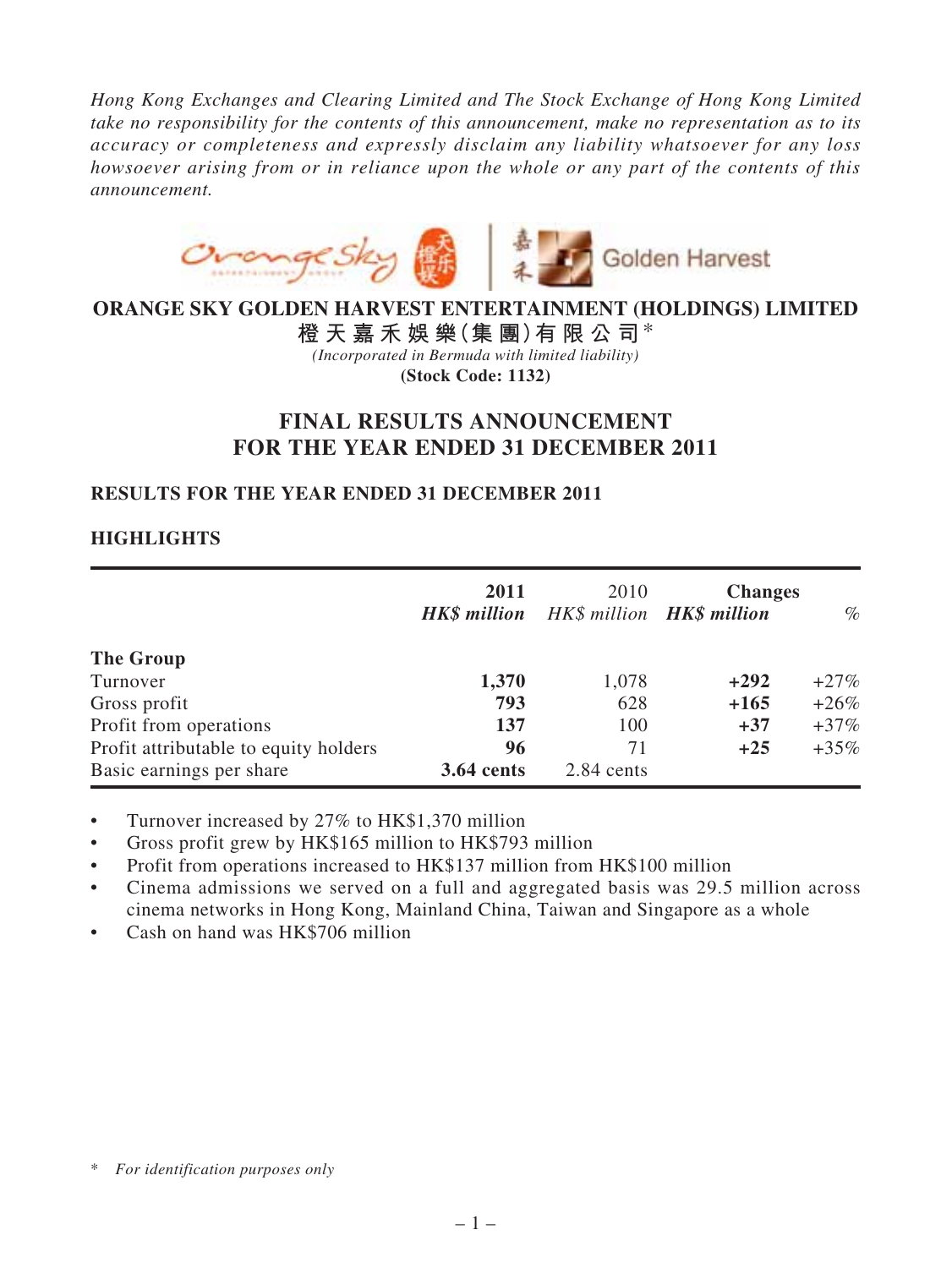*Hong Kong Exchanges and Clearing Limited and The Stock Exchange of Hong Kong Limited take no responsibility for the contents of this announcement, make no representation as to its accuracy or completeness and expressly disclaim any liability whatsoever for any loss howsoever arising from or in reliance upon the whole or any part of the contents of this announcement.*



# **ORANGE SKY GOLDEN HARVEST ENTERTAINMENT (HOLDINGS) LIMITED**

**橙 天 嘉 禾 娛 樂(集 團)有 限 公 司**\* *(Incorporated in Bermuda with limited liability)* **(Stock Code: 1132)**

# **FINAL RESULTS ANNOUNCEMENT FOR THE YEAR ENDED 31 DECEMBER 2011**

## **RESULTS FOR THE YEAR ENDED 31 DECEMBER 2011**

## **HIGHLIGHTS**

|                                       | 2011<br><b>HK\$</b> million | 2010<br>HK\$ million <b>HK\$ million</b> | <b>Changes</b> | $\%$    |
|---------------------------------------|-----------------------------|------------------------------------------|----------------|---------|
| The Group                             |                             |                                          |                |         |
| Turnover                              | 1,370                       | 1,078                                    | $+292$         | $+27\%$ |
| Gross profit                          | 793                         | 628                                      | $+165$         | $+26\%$ |
| Profit from operations                | 137                         | 100                                      | $+37$          | $+37\%$ |
| Profit attributable to equity holders | 96                          | 71                                       | $+25$          | $+35\%$ |
| Basic earnings per share              | <b>3.64 cents</b>           | 2.84 cents                               |                |         |

• Turnover increased by 27% to HK\$1,370 million

Gross profit grew by HK\$165 million to HK\$793 million

• Profit from operations increased to HK\$137 million from HK\$100 million

- Cinema admissions we served on a full and aggregated basis was 29.5 million across cinema networks in Hong Kong, Mainland China, Taiwan and Singapore as a whole
- Cash on hand was HK\$706 million

<sup>\*</sup> *For identification purposes only*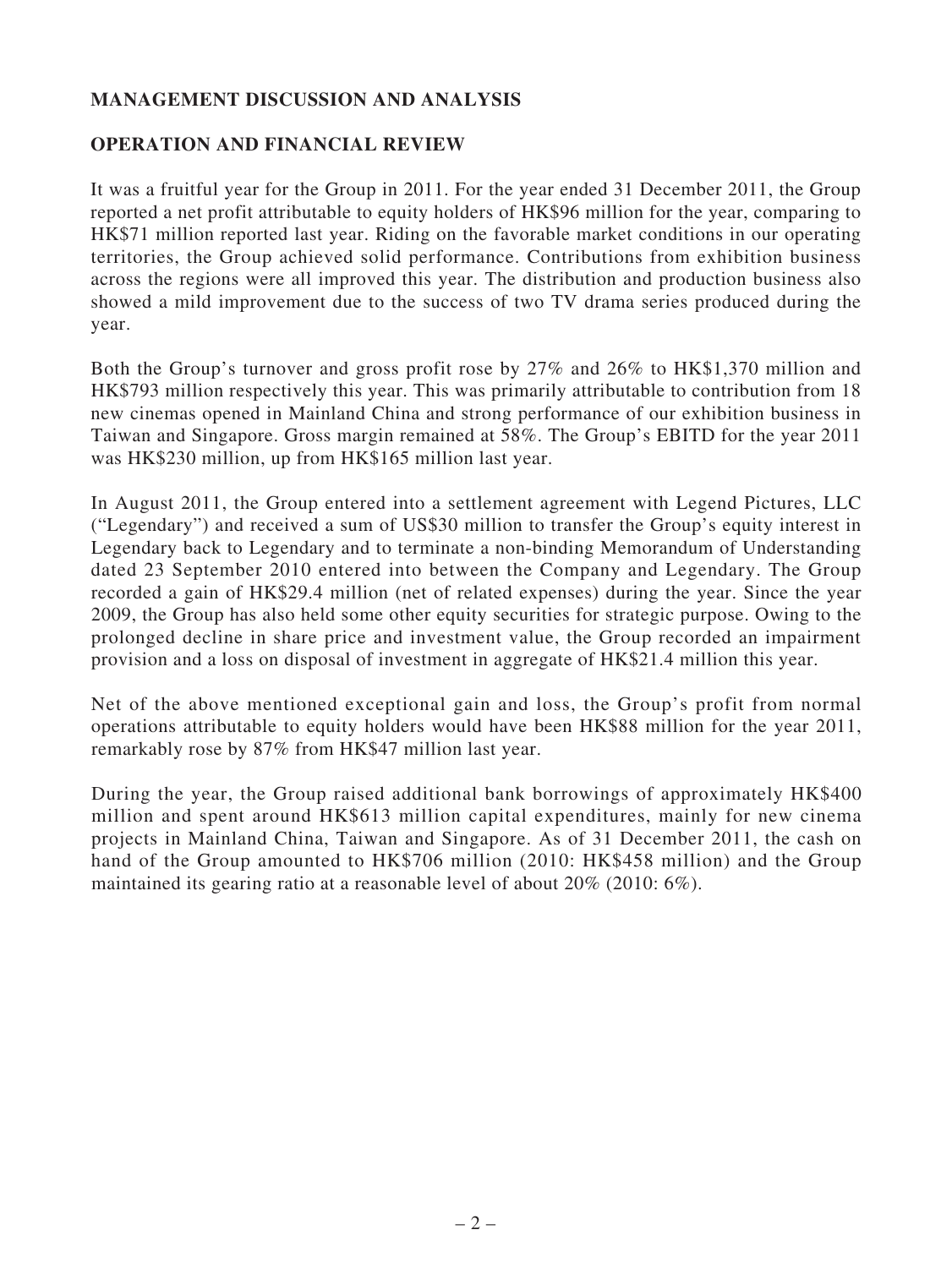## **MANAGEMENT DISCUSSION AND ANALYSIS**

## **OPERATION AND FINANCIAL REVIEW**

It was a fruitful year for the Group in 2011. For the year ended 31 December 2011, the Group reported a net profit attributable to equity holders of HK\$96 million for the year, comparing to HK\$71 million reported last year. Riding on the favorable market conditions in our operating territories, the Group achieved solid performance. Contributions from exhibition business across the regions were all improved this year. The distribution and production business also showed a mild improvement due to the success of two TV drama series produced during the year.

Both the Group's turnover and gross profit rose by 27% and 26% to HK\$1,370 million and HK\$793 million respectively this year. This was primarily attributable to contribution from 18 new cinemas opened in Mainland China and strong performance of our exhibition business in Taiwan and Singapore. Gross margin remained at 58%. The Group's EBITD for the year 2011 was HK\$230 million, up from HK\$165 million last year.

In August 2011, the Group entered into a settlement agreement with Legend Pictures, LLC ("Legendary") and received a sum of US\$30 million to transfer the Group's equity interest in Legendary back to Legendary and to terminate a non-binding Memorandum of Understanding dated 23 September 2010 entered into between the Company and Legendary. The Group recorded a gain of HK\$29.4 million (net of related expenses) during the year. Since the year 2009, the Group has also held some other equity securities for strategic purpose. Owing to the prolonged decline in share price and investment value, the Group recorded an impairment provision and a loss on disposal of investment in aggregate of HK\$21.4 million this year.

Net of the above mentioned exceptional gain and loss, the Group's profit from normal operations attributable to equity holders would have been HK\$88 million for the year 2011, remarkably rose by 87% from HK\$47 million last year.

During the year, the Group raised additional bank borrowings of approximately HK\$400 million and spent around HK\$613 million capital expenditures, mainly for new cinema projects in Mainland China, Taiwan and Singapore. As of 31 December 2011, the cash on hand of the Group amounted to HK\$706 million (2010: HK\$458 million) and the Group maintained its gearing ratio at a reasonable level of about 20% (2010: 6%).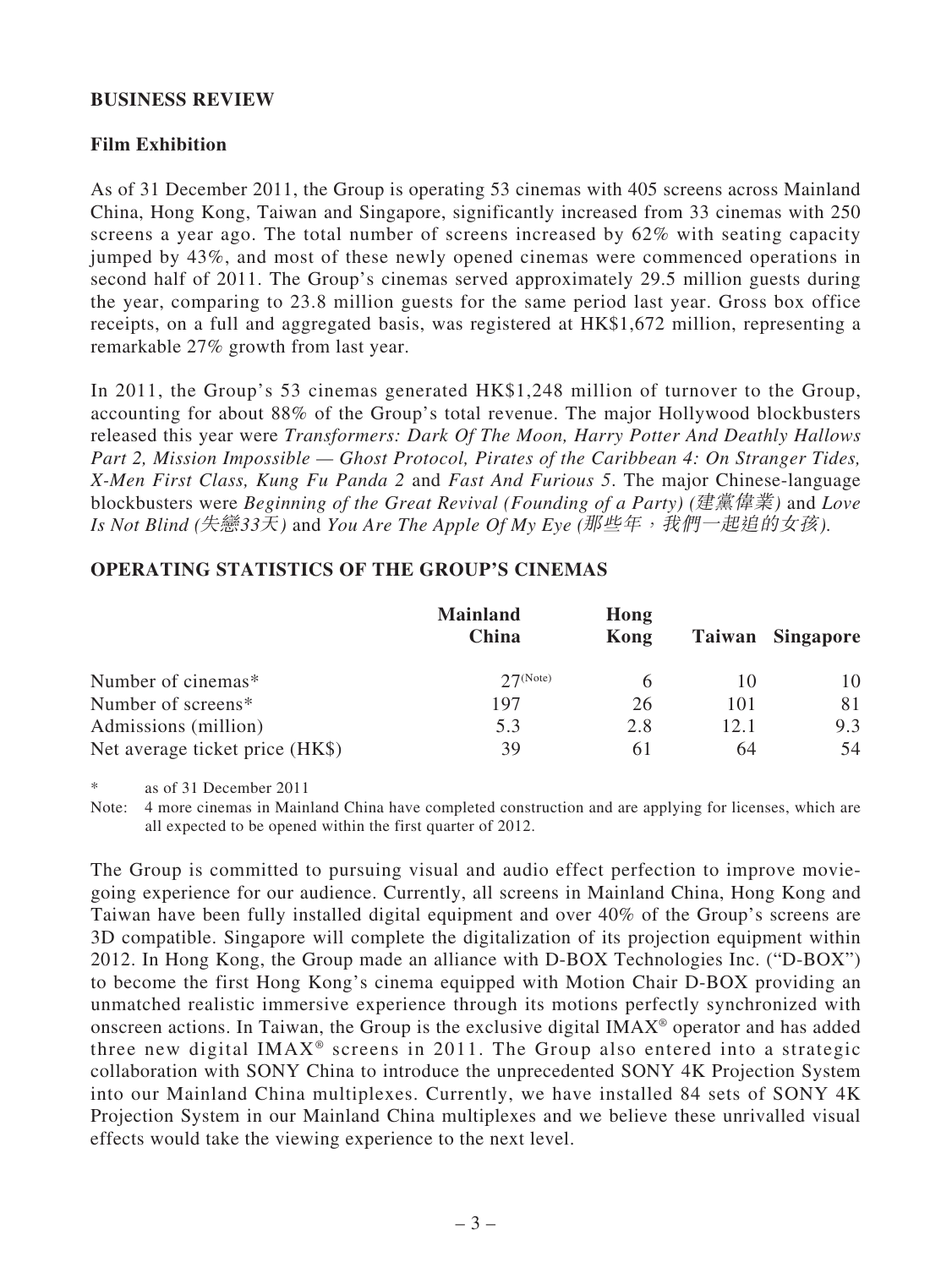### **BUSINESS REVIEW**

## **Film Exhibition**

As of 31 December 2011, the Group is operating 53 cinemas with 405 screens across Mainland China, Hong Kong, Taiwan and Singapore, significantly increased from 33 cinemas with 250 screens a year ago. The total number of screens increased by 62% with seating capacity jumped by 43%, and most of these newly opened cinemas were commenced operations in second half of 2011. The Group's cinemas served approximately 29.5 million guests during the year, comparing to 23.8 million guests for the same period last year. Gross box office receipts, on a full and aggregated basis, was registered at HK\$1,672 million, representing a remarkable 27% growth from last year.

In 2011, the Group's 53 cinemas generated HK\$1,248 million of turnover to the Group, accounting for about 88% of the Group's total revenue. The major Hollywood blockbusters released this year were *Transformers: Dark Of The Moon, Harry Potter And Deathly Hallows Part 2, Mission Impossible — Ghost Protocol, Pirates of the Caribbean 4: On Stranger Tides, X-Men First Class, Kung Fu Panda 2* and *Fast And Furious 5*. The major Chinese-language blockbusters were *Beginning of the Great Revival (Founding of a Party) (*建黨偉業*)* and *Love Is Not Blind (*失戀*33*天*)* and *You Are The Apple Of My Eye (*那些年,我們一起追的女孩*).*

# **OPERATING STATISTICS OF THE GROUP'S CINEMAS**

|                                 | <b>Mainland</b><br>China | Hong<br>Kong |      | Taiwan Singapore |
|---------------------------------|--------------------------|--------------|------|------------------|
| Number of cinemas*              | $27$ (Note)              |              | 10   | 10               |
| Number of screens*              | 197                      | 26           | 101  | 81               |
| Admissions (million)            | 5.3                      | 2.8          | 12.1 | 9.3              |
| Net average ticket price (HK\$) | 39                       | 61           | 64   | 54               |

as of 31 December 2011

Note: 4 more cinemas in Mainland China have completed construction and are applying for licenses, which are all expected to be opened within the first quarter of 2012.

The Group is committed to pursuing visual and audio effect perfection to improve moviegoing experience for our audience. Currently, all screens in Mainland China, Hong Kong and Taiwan have been fully installed digital equipment and over 40% of the Group's screens are 3D compatible. Singapore will complete the digitalization of its projection equipment within 2012. In Hong Kong, the Group made an alliance with D-BOX Technologies Inc. ("D-BOX") to become the first Hong Kong's cinema equipped with Motion Chair D-BOX providing an unmatched realistic immersive experience through its motions perfectly synchronized with onscreen actions. In Taiwan, the Group is the exclusive digital IMAX® operator and has added three new digital IMAX<sup>®</sup> screens in 2011. The Group also entered into a strategic collaboration with SONY China to introduce the unprecedented SONY 4K Projection System into our Mainland China multiplexes. Currently, we have installed 84 sets of SONY 4K Projection System in our Mainland China multiplexes and we believe these unrivalled visual effects would take the viewing experience to the next level.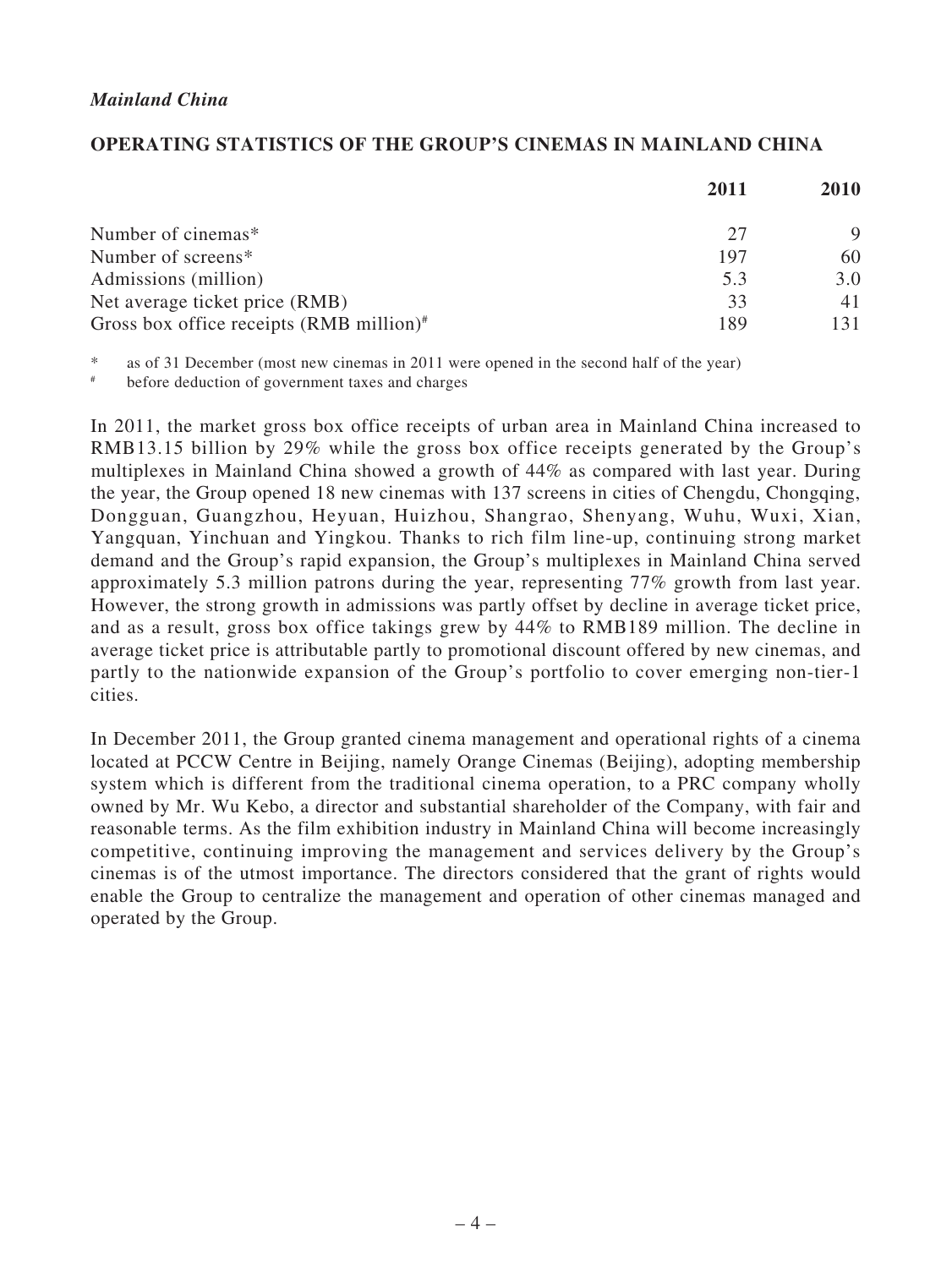### *Mainland China*

### **OPERATING STATISTICS OF THE GROUP'S CINEMAS IN MAINLAND CHINA**

|                                                    | 2011 |     |
|----------------------------------------------------|------|-----|
| Number of cinemas*                                 | 27   |     |
| Number of screens*                                 | 197  | 60  |
| Admissions (million)                               | 5.3  | 3.0 |
| Net average ticket price (RMB)                     | 33   | 41  |
| Gross box office receipts $(RMB\text{ million})^*$ | 189  | 131 |

\* as of 31 December (most new cinemas in 2011 were opened in the second half of the year)

# before deduction of government taxes and charges

In 2011, the market gross box office receipts of urban area in Mainland China increased to RMB13.15 billion by 29% while the gross box office receipts generated by the Group's multiplexes in Mainland China showed a growth of 44% as compared with last year. During the year, the Group opened 18 new cinemas with 137 screens in cities of Chengdu, Chongqing, Dongguan, Guangzhou, Heyuan, Huizhou, Shangrao, Shenyang, Wuhu, Wuxi, Xian, Yangquan, Yinchuan and Yingkou. Thanks to rich film line-up, continuing strong market demand and the Group's rapid expansion, the Group's multiplexes in Mainland China served approximately 5.3 million patrons during the year, representing 77% growth from last year. However, the strong growth in admissions was partly offset by decline in average ticket price, and as a result, gross box office takings grew by 44% to RMB189 million. The decline in average ticket price is attributable partly to promotional discount offered by new cinemas, and partly to the nationwide expansion of the Group's portfolio to cover emerging non-tier-1 cities.

In December 2011, the Group granted cinema management and operational rights of a cinema located at PCCW Centre in Beijing, namely Orange Cinemas (Beijing), adopting membership system which is different from the traditional cinema operation, to a PRC company wholly owned by Mr. Wu Kebo, a director and substantial shareholder of the Company, with fair and reasonable terms. As the film exhibition industry in Mainland China will become increasingly competitive, continuing improving the management and services delivery by the Group's cinemas is of the utmost importance. The directors considered that the grant of rights would enable the Group to centralize the management and operation of other cinemas managed and operated by the Group.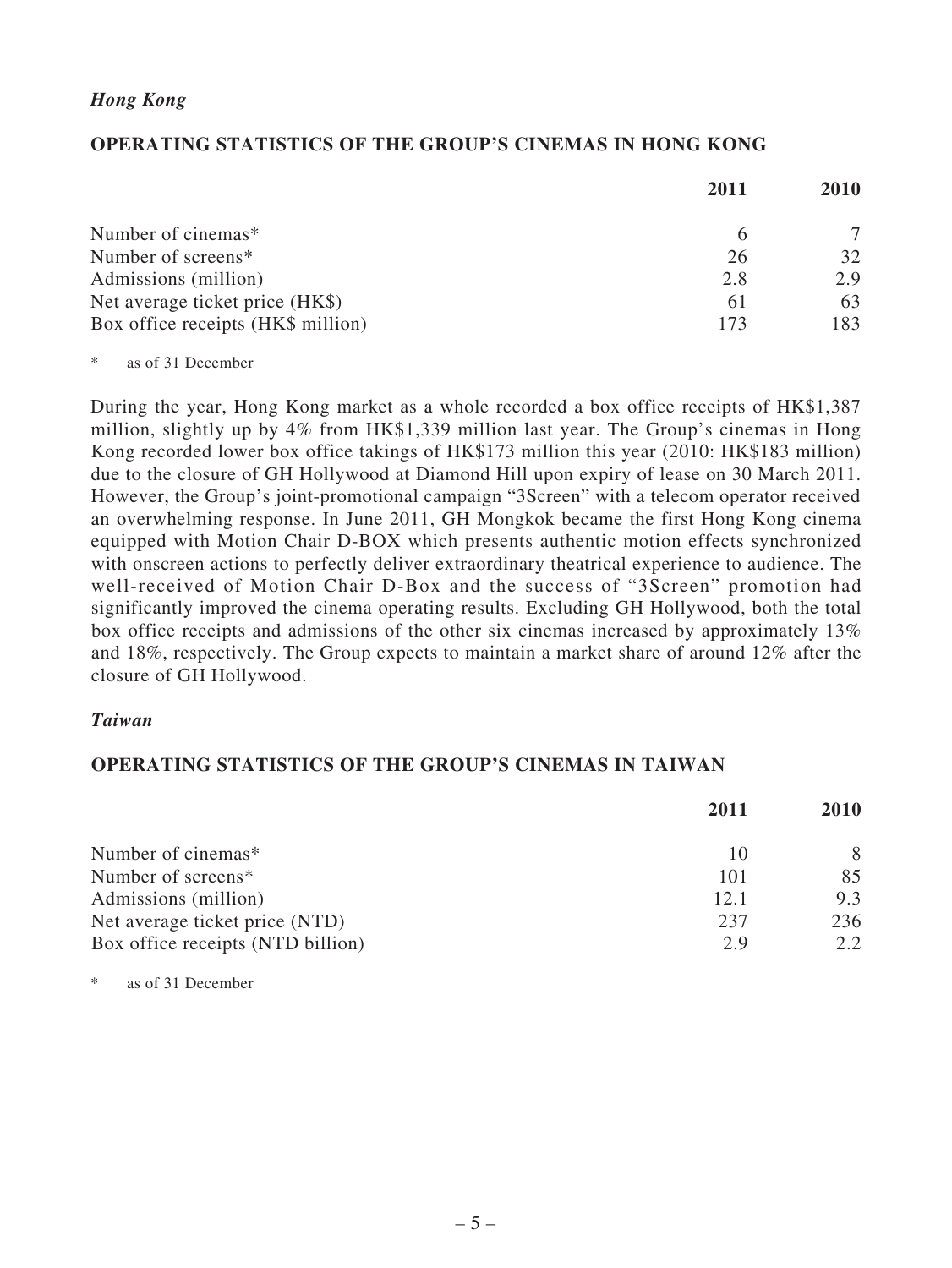### *Hong Kong*

### **OPERATING STATISTICS OF THE GROUP'S CINEMAS IN HONG KONG**

|                                    | 2011 | <b>2010</b> |
|------------------------------------|------|-------------|
| Number of cinemas*                 |      |             |
| Number of screens*                 | 26   | 32          |
| Admissions (million)               | 2.8  | 2.9         |
| Net average ticket price (HK\$)    | 61   | 63          |
| Box office receipts (HK\$ million) | 173  | 183         |

\* as of 31 December

During the year, Hong Kong market as a whole recorded a box office receipts of HK\$1,387 million, slightly up by 4% from HK\$1,339 million last year. The Group's cinemas in Hong Kong recorded lower box office takings of HK\$173 million this year (2010: HK\$183 million) due to the closure of GH Hollywood at Diamond Hill upon expiry of lease on 30 March 2011. However, the Group's joint-promotional campaign "3Screen" with a telecom operator received an overwhelming response. In June 2011, GH Mongkok became the first Hong Kong cinema equipped with Motion Chair D-BOX which presents authentic motion effects synchronized with onscreen actions to perfectly deliver extraordinary theatrical experience to audience. The well-received of Motion Chair D-Box and the success of "3Screen" promotion had significantly improved the cinema operating results. Excluding GH Hollywood, both the total box office receipts and admissions of the other six cinemas increased by approximately 13% and 18%, respectively. The Group expects to maintain a market share of around 12% after the closure of GH Hollywood.

### *Taiwan*

### **OPERATING STATISTICS OF THE GROUP'S CINEMAS IN TAIWAN**

|                                   | 2011 | <b>2010</b> |
|-----------------------------------|------|-------------|
| Number of cinemas*                | 10   | 8           |
| Number of screens*                | 101  | 85          |
| Admissions (million)              | 12.1 | 9.3         |
| Net average ticket price (NTD)    | 237  | 236         |
| Box office receipts (NTD billion) | 2.9  | 2.2.        |

as of 31 December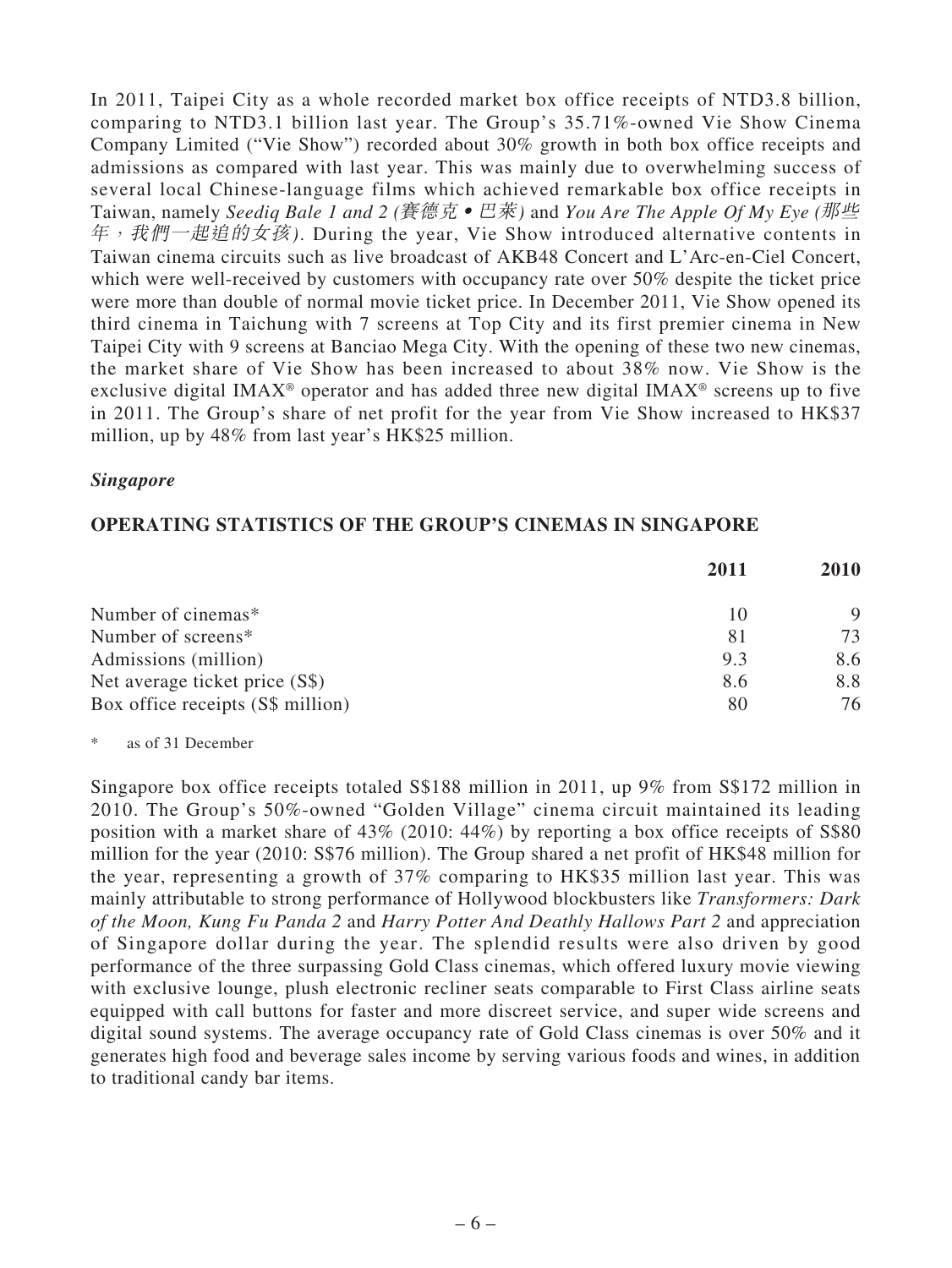In 2011, Taipei City as a whole recorded market box office receipts of NTD3.8 billion, comparing to NTD3.1 billion last year. The Group's 35.71%-owned Vie Show Cinema Company Limited ("Vie Show") recorded about 30% growth in both box office receipts and admissions as compared with last year. This was mainly due to overwhelming success of several local Chinese-language films which achieved remarkable box office receipts in Taiwan, namely *Seediq Bale 1 and 2 (*賽德克‧巴萊*)* and *You Are The Apple Of My Eye (*那些 年,我們一起追的女孩*)*. During the year, Vie Show introduced alternative contents in Taiwan cinema circuits such as live broadcast of AKB48 Concert and L'Arc-en-Ciel Concert, which were well-received by customers with occupancy rate over 50% despite the ticket price were more than double of normal movie ticket price. In December 2011, Vie Show opened its third cinema in Taichung with 7 screens at Top City and its first premier cinema in New Taipei City with 9 screens at Banciao Mega City. With the opening of these two new cinemas, the market share of Vie Show has been increased to about 38% now. Vie Show is the exclusive digital IMAX® operator and has added three new digital IMAX® screens up to five in 2011. The Group's share of net profit for the year from Vie Show increased to HK\$37 million, up by 48% from last year's HK\$25 million.

### *Singapore*

### **OPERATING STATISTICS OF THE GROUP'S CINEMAS IN SINGAPORE**

|                                   | 2011 | <b>2010</b> |
|-----------------------------------|------|-------------|
| Number of cinemas*                | 10   |             |
| Number of screens*                | 81   | 73          |
| Admissions (million)              | 9.3  | 8.6         |
| Net average ticket price (S\$)    | 8.6  | 8.8         |
| Box office receipts (S\$ million) | 80   | 76          |

\* as of 31 December

Singapore box office receipts totaled S\$188 million in 2011, up 9% from S\$172 million in 2010. The Group's 50%-owned "Golden Village" cinema circuit maintained its leading position with a market share of 43% (2010: 44%) by reporting a box office receipts of S\$80 million for the year (2010: S\$76 million). The Group shared a net profit of HK\$48 million for the year, representing a growth of 37% comparing to HK\$35 million last year. This was mainly attributable to strong performance of Hollywood blockbusters like *Transformers: Dark of the Moon, Kung Fu Panda 2* and *Harry Potter And Deathly Hallows Part 2* and appreciation of Singapore dollar during the year. The splendid results were also driven by good performance of the three surpassing Gold Class cinemas, which offered luxury movie viewing with exclusive lounge, plush electronic recliner seats comparable to First Class airline seats equipped with call buttons for faster and more discreet service, and super wide screens and digital sound systems. The average occupancy rate of Gold Class cinemas is over 50% and it generates high food and beverage sales income by serving various foods and wines, in addition to traditional candy bar items.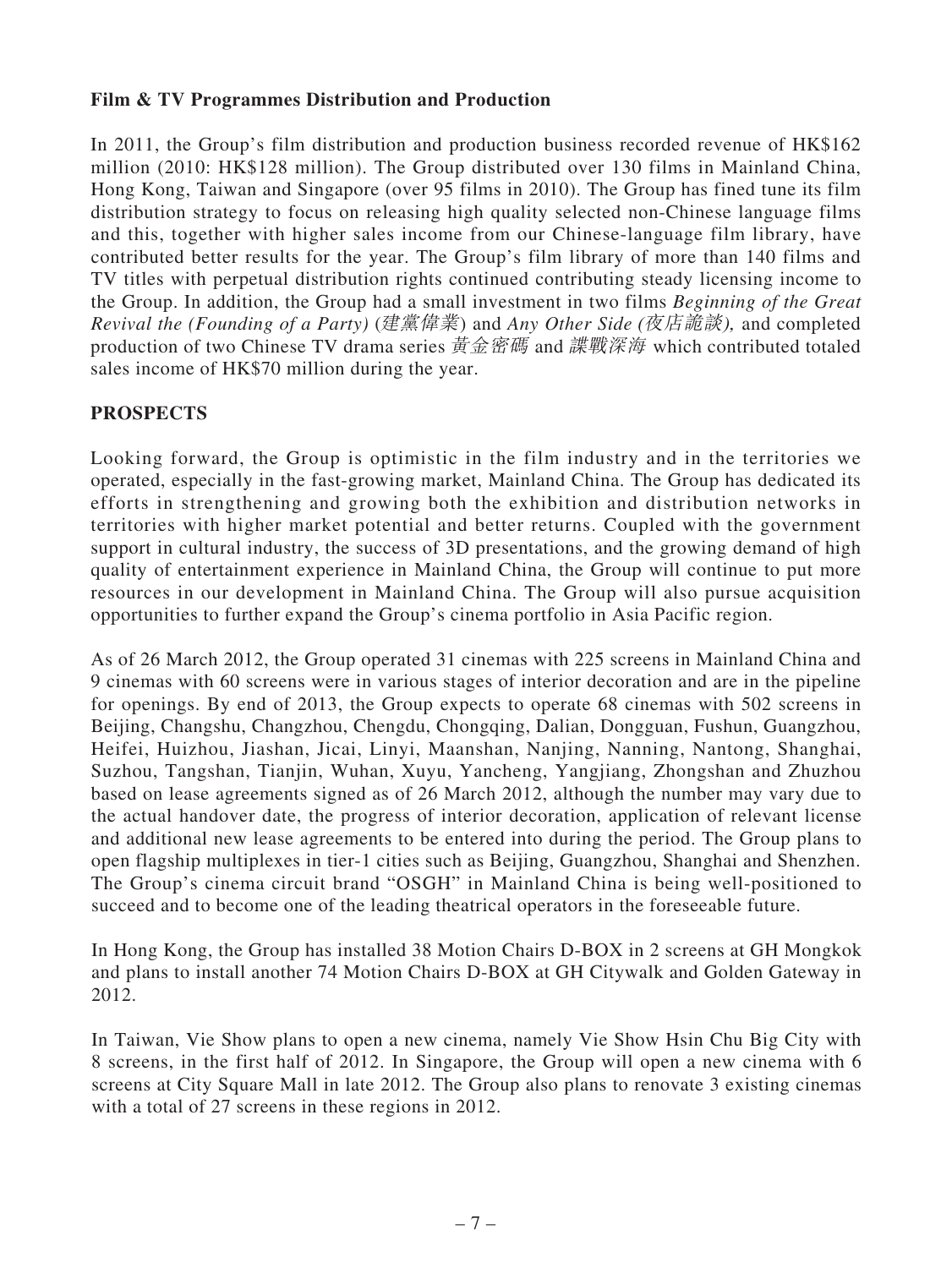## **Film & TV Programmes Distribution and Production**

In 2011, the Group's film distribution and production business recorded revenue of HK\$162 million (2010: HK\$128 million). The Group distributed over 130 films in Mainland China, Hong Kong, Taiwan and Singapore (over 95 films in 2010). The Group has fined tune its film distribution strategy to focus on releasing high quality selected non-Chinese language films and this, together with higher sales income from our Chinese-language film library, have contributed better results for the year. The Group's film library of more than 140 films and TV titles with perpetual distribution rights continued contributing steady licensing income to the Group. In addition, the Group had a small investment in two films *Beginning of the Great Revival the (Founding of a Party)* (建黨偉業) and *Any Other Side* (夜店詭談), and completed production of two Chinese TV drama series 黃金密碼 and 諜戰深海 which contributed totaled sales income of HK\$70 million during the year.

## **PROSPECTS**

Looking forward, the Group is optimistic in the film industry and in the territories we operated, especially in the fast-growing market, Mainland China. The Group has dedicated its efforts in strengthening and growing both the exhibition and distribution networks in territories with higher market potential and better returns. Coupled with the government support in cultural industry, the success of 3D presentations, and the growing demand of high quality of entertainment experience in Mainland China, the Group will continue to put more resources in our development in Mainland China. The Group will also pursue acquisition opportunities to further expand the Group's cinema portfolio in Asia Pacific region.

As of 26 March 2012, the Group operated 31 cinemas with 225 screens in Mainland China and 9 cinemas with 60 screens were in various stages of interior decoration and are in the pipeline for openings. By end of 2013, the Group expects to operate 68 cinemas with 502 screens in Beijing, Changshu, Changzhou, Chengdu, Chongqing, Dalian, Dongguan, Fushun, Guangzhou, Heifei, Huizhou, Jiashan, Jicai, Linyi, Maanshan, Nanjing, Nanning, Nantong, Shanghai, Suzhou, Tangshan, Tianjin, Wuhan, Xuyu, Yancheng, Yangjiang, Zhongshan and Zhuzhou based on lease agreements signed as of 26 March 2012, although the number may vary due to the actual handover date, the progress of interior decoration, application of relevant license and additional new lease agreements to be entered into during the period. The Group plans to open flagship multiplexes in tier-1 cities such as Beijing, Guangzhou, Shanghai and Shenzhen. The Group's cinema circuit brand "OSGH" in Mainland China is being well-positioned to succeed and to become one of the leading theatrical operators in the foreseeable future.

In Hong Kong, the Group has installed 38 Motion Chairs D-BOX in 2 screens at GH Mongkok and plans to install another 74 Motion Chairs D-BOX at GH Citywalk and Golden Gateway in 2012.

In Taiwan, Vie Show plans to open a new cinema, namely Vie Show Hsin Chu Big City with 8 screens, in the first half of 2012. In Singapore, the Group will open a new cinema with 6 screens at City Square Mall in late 2012. The Group also plans to renovate 3 existing cinemas with a total of 27 screens in these regions in 2012.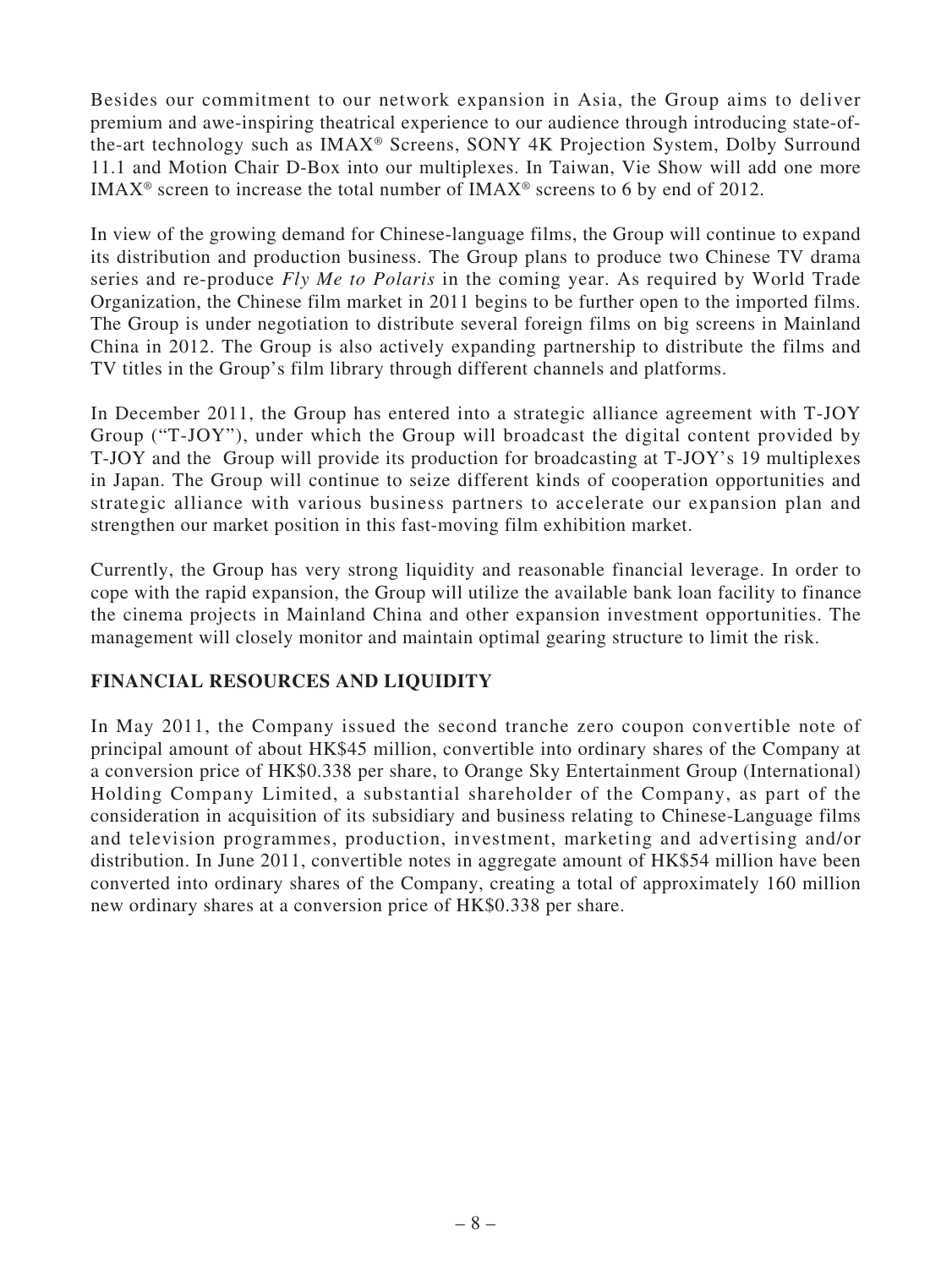Besides our commitment to our network expansion in Asia, the Group aims to deliver premium and awe-inspiring theatrical experience to our audience through introducing state-ofthe-art technology such as IMAX® Screens, SONY 4K Projection System, Dolby Surround 11.1 and Motion Chair D-Box into our multiplexes. In Taiwan, Vie Show will add one more IMAX<sup>®</sup> screen to increase the total number of IMAX<sup>®</sup> screens to 6 by end of 2012.

In view of the growing demand for Chinese-language films, the Group will continue to expand its distribution and production business. The Group plans to produce two Chinese TV drama series and re-produce *Fly Me to Polaris* in the coming year. As required by World Trade Organization, the Chinese film market in 2011 begins to be further open to the imported films. The Group is under negotiation to distribute several foreign films on big screens in Mainland China in 2012. The Group is also actively expanding partnership to distribute the films and TV titles in the Group's film library through different channels and platforms.

In December 2011, the Group has entered into a strategic alliance agreement with T-JOY Group ("T-JOY"), under which the Group will broadcast the digital content provided by T-JOY and the Group will provide its production for broadcasting at T-JOY's 19 multiplexes in Japan. The Group will continue to seize different kinds of cooperation opportunities and strategic alliance with various business partners to accelerate our expansion plan and strengthen our market position in this fast-moving film exhibition market.

Currently, the Group has very strong liquidity and reasonable financial leverage. In order to cope with the rapid expansion, the Group will utilize the available bank loan facility to finance the cinema projects in Mainland China and other expansion investment opportunities. The management will closely monitor and maintain optimal gearing structure to limit the risk.

# **FINANCIAL RESOURCES AND LIQUIDITY**

In May 2011, the Company issued the second tranche zero coupon convertible note of principal amount of about HK\$45 million, convertible into ordinary shares of the Company at a conversion price of HK\$0.338 per share, to Orange Sky Entertainment Group (International) Holding Company Limited, a substantial shareholder of the Company, as part of the consideration in acquisition of its subsidiary and business relating to Chinese-Language films and television programmes, production, investment, marketing and advertising and/or distribution. In June 2011, convertible notes in aggregate amount of HK\$54 million have been converted into ordinary shares of the Company, creating a total of approximately 160 million new ordinary shares at a conversion price of HK\$0.338 per share.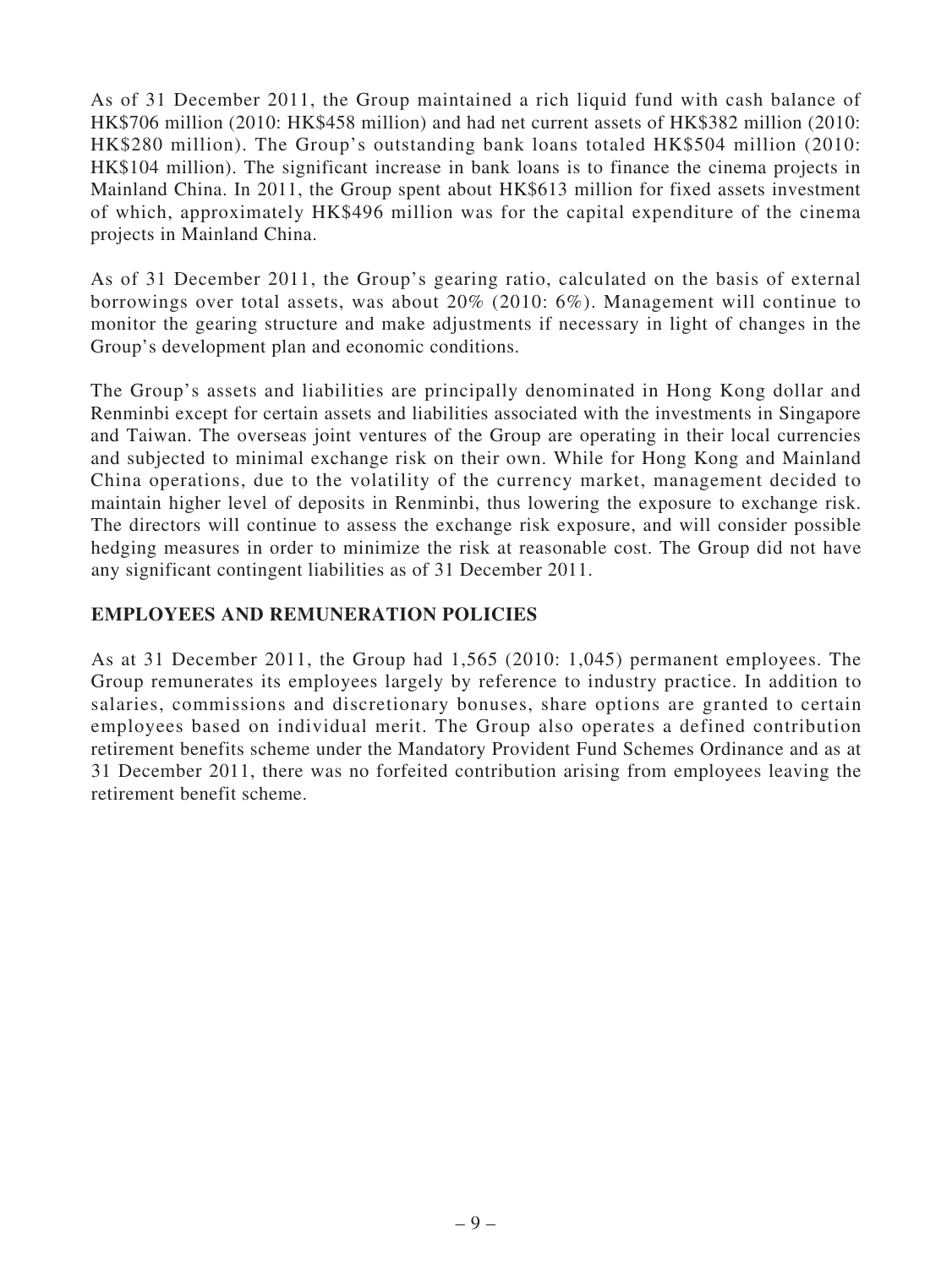As of 31 December 2011, the Group maintained a rich liquid fund with cash balance of HK\$706 million (2010: HK\$458 million) and had net current assets of HK\$382 million (2010: HK\$280 million). The Group's outstanding bank loans totaled HK\$504 million (2010: HK\$104 million). The significant increase in bank loans is to finance the cinema projects in Mainland China. In 2011, the Group spent about HK\$613 million for fixed assets investment of which, approximately HK\$496 million was for the capital expenditure of the cinema projects in Mainland China.

As of 31 December 2011, the Group's gearing ratio, calculated on the basis of external borrowings over total assets, was about 20% (2010: 6%). Management will continue to monitor the gearing structure and make adjustments if necessary in light of changes in the Group's development plan and economic conditions.

The Group's assets and liabilities are principally denominated in Hong Kong dollar and Renminbi except for certain assets and liabilities associated with the investments in Singapore and Taiwan. The overseas joint ventures of the Group are operating in their local currencies and subjected to minimal exchange risk on their own. While for Hong Kong and Mainland China operations, due to the volatility of the currency market, management decided to maintain higher level of deposits in Renminbi, thus lowering the exposure to exchange risk. The directors will continue to assess the exchange risk exposure, and will consider possible hedging measures in order to minimize the risk at reasonable cost. The Group did not have any significant contingent liabilities as of 31 December 2011.

## **EMPLOYEES AND REMUNERATION POLICIES**

As at 31 December 2011, the Group had 1,565 (2010: 1,045) permanent employees. The Group remunerates its employees largely by reference to industry practice. In addition to salaries, commissions and discretionary bonuses, share options are granted to certain employees based on individual merit. The Group also operates a defined contribution retirement benefits scheme under the Mandatory Provident Fund Schemes Ordinance and as at 31 December 2011, there was no forfeited contribution arising from employees leaving the retirement benefit scheme.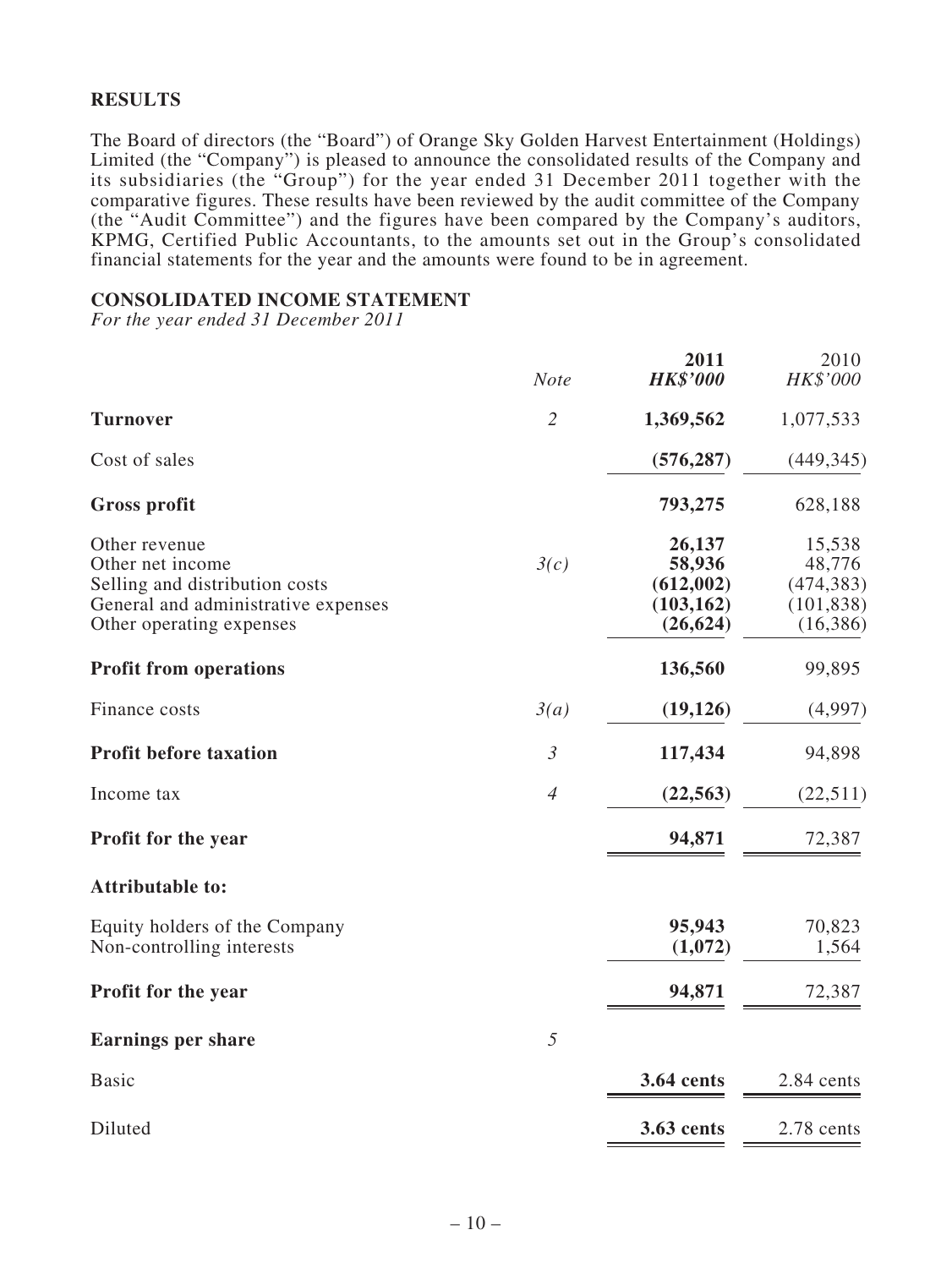## **RESULTS**

The Board of directors (the "Board") of Orange Sky Golden Harvest Entertainment (Holdings) Limited (the "Company") is pleased to announce the consolidated results of the Company and its subsidiaries (the "Group") for the year ended 31 December 2011 together with the comparative figures. These results have been reviewed by the audit committee of the Company (the "Audit Committee") and the figures have been compared by the Company's auditors, KPMG, Certified Public Accountants, to the amounts set out in the Group's consolidated financial statements for the year and the amounts were found to be in agreement.

### **CONSOLIDATED INCOME STATEMENT**

*For the year ended 31 December 2011*

|                                                                                                                                        | <b>Note</b>    | 2011<br><b>HK\$'000</b>                                  | 2010<br>HK\$'000                                          |
|----------------------------------------------------------------------------------------------------------------------------------------|----------------|----------------------------------------------------------|-----------------------------------------------------------|
| <b>Turnover</b>                                                                                                                        | $\overline{2}$ | 1,369,562                                                | 1,077,533                                                 |
| Cost of sales                                                                                                                          |                | (576, 287)                                               | (449, 345)                                                |
| <b>Gross profit</b>                                                                                                                    |                | 793,275                                                  | 628,188                                                   |
| Other revenue<br>Other net income<br>Selling and distribution costs<br>General and administrative expenses<br>Other operating expenses | 3(c)           | 26,137<br>58,936<br>(612,002)<br>(103, 162)<br>(26, 624) | 15,538<br>48,776<br>(474, 383)<br>(101, 838)<br>(16, 386) |
| <b>Profit from operations</b>                                                                                                          |                | 136,560                                                  | 99,895                                                    |
| Finance costs                                                                                                                          | 3(a)           | (19, 126)                                                | (4,997)                                                   |
| <b>Profit before taxation</b>                                                                                                          | $\mathfrak{Z}$ | 117,434                                                  | 94,898                                                    |
| Income tax                                                                                                                             | $\overline{4}$ | (22, 563)                                                | (22,511)                                                  |
| Profit for the year                                                                                                                    |                | 94,871                                                   | 72,387                                                    |
| <b>Attributable to:</b>                                                                                                                |                |                                                          |                                                           |
| Equity holders of the Company<br>Non-controlling interests                                                                             |                | 95,943<br>(1,072)                                        | 70,823<br>1,564                                           |
| Profit for the year                                                                                                                    |                | 94,871                                                   | 72,387                                                    |
| <b>Earnings per share</b>                                                                                                              | 5              |                                                          |                                                           |
| <b>Basic</b>                                                                                                                           |                | <b>3.64 cents</b>                                        | 2.84 cents                                                |
| Diluted                                                                                                                                |                | 3.63 cents                                               | 2.78 cents                                                |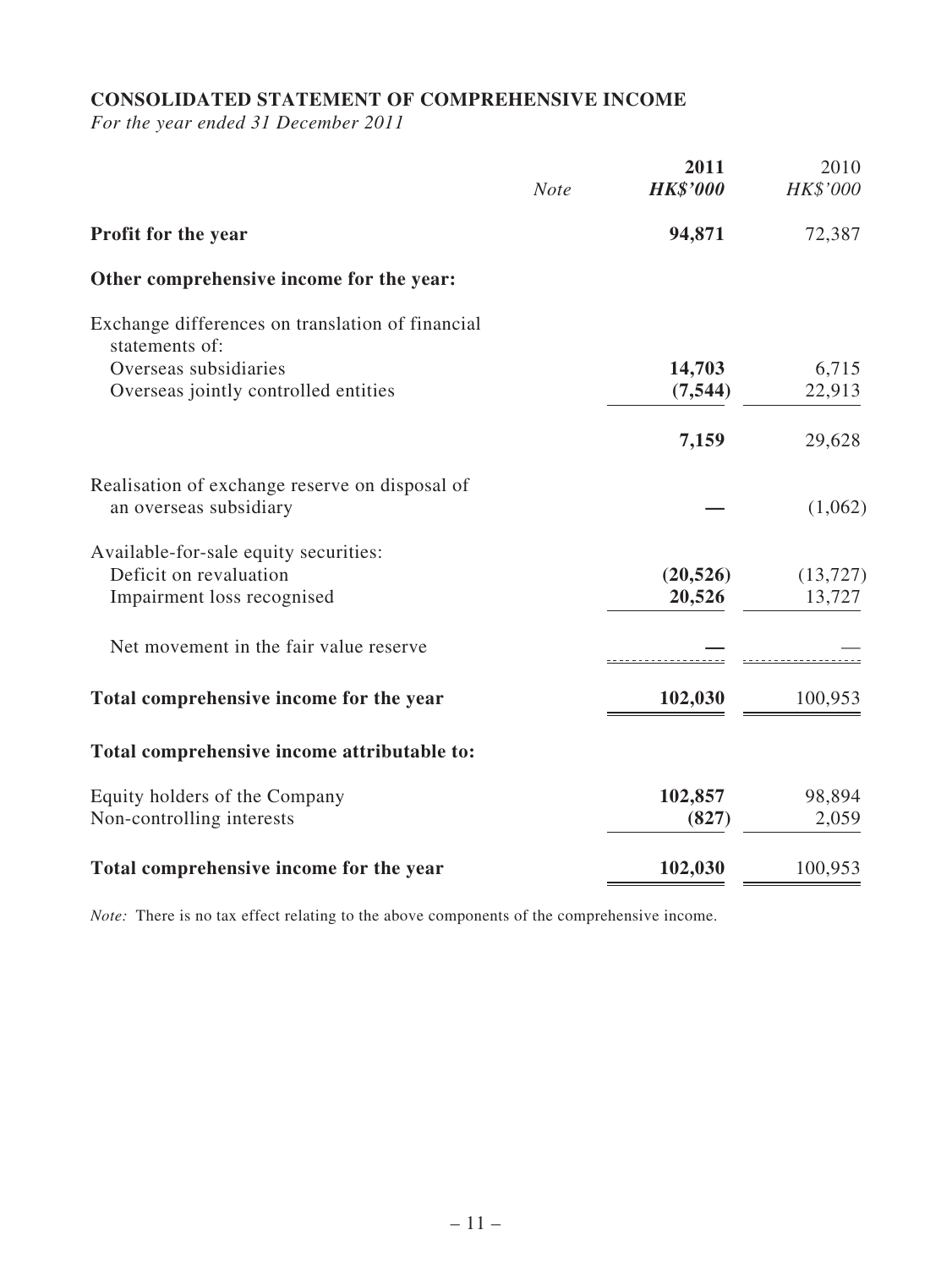# **CONSOLIDATED STATEMENT OF COMPREHENSIVE INCOME**

*For the year ended 31 December 2011*

|                                                                          | <b>Note</b> | 2011<br><b>HK\$'000</b> | 2010<br>HK\$'000 |
|--------------------------------------------------------------------------|-------------|-------------------------|------------------|
| Profit for the year                                                      |             | 94,871                  | 72,387           |
| Other comprehensive income for the year:                                 |             |                         |                  |
| Exchange differences on translation of financial<br>statements of:       |             |                         |                  |
| Overseas subsidiaries                                                    |             | 14,703                  | 6,715            |
| Overseas jointly controlled entities                                     |             | (7, 544)                | 22,913           |
|                                                                          |             | 7,159                   | 29,628           |
| Realisation of exchange reserve on disposal of<br>an overseas subsidiary |             |                         | (1,062)          |
| Available-for-sale equity securities:                                    |             |                         |                  |
| Deficit on revaluation                                                   |             | (20, 526)               | (13, 727)        |
| Impairment loss recognised                                               |             | 20,526                  | 13,727           |
| Net movement in the fair value reserve                                   |             |                         |                  |
| Total comprehensive income for the year                                  |             | 102,030                 | 100,953          |
| Total comprehensive income attributable to:                              |             |                         |                  |
| Equity holders of the Company                                            |             | 102,857                 | 98,894           |
| Non-controlling interests                                                |             | (827)                   | 2,059            |
| Total comprehensive income for the year                                  |             | 102,030                 | 100,953          |

*Note:* There is no tax effect relating to the above components of the comprehensive income.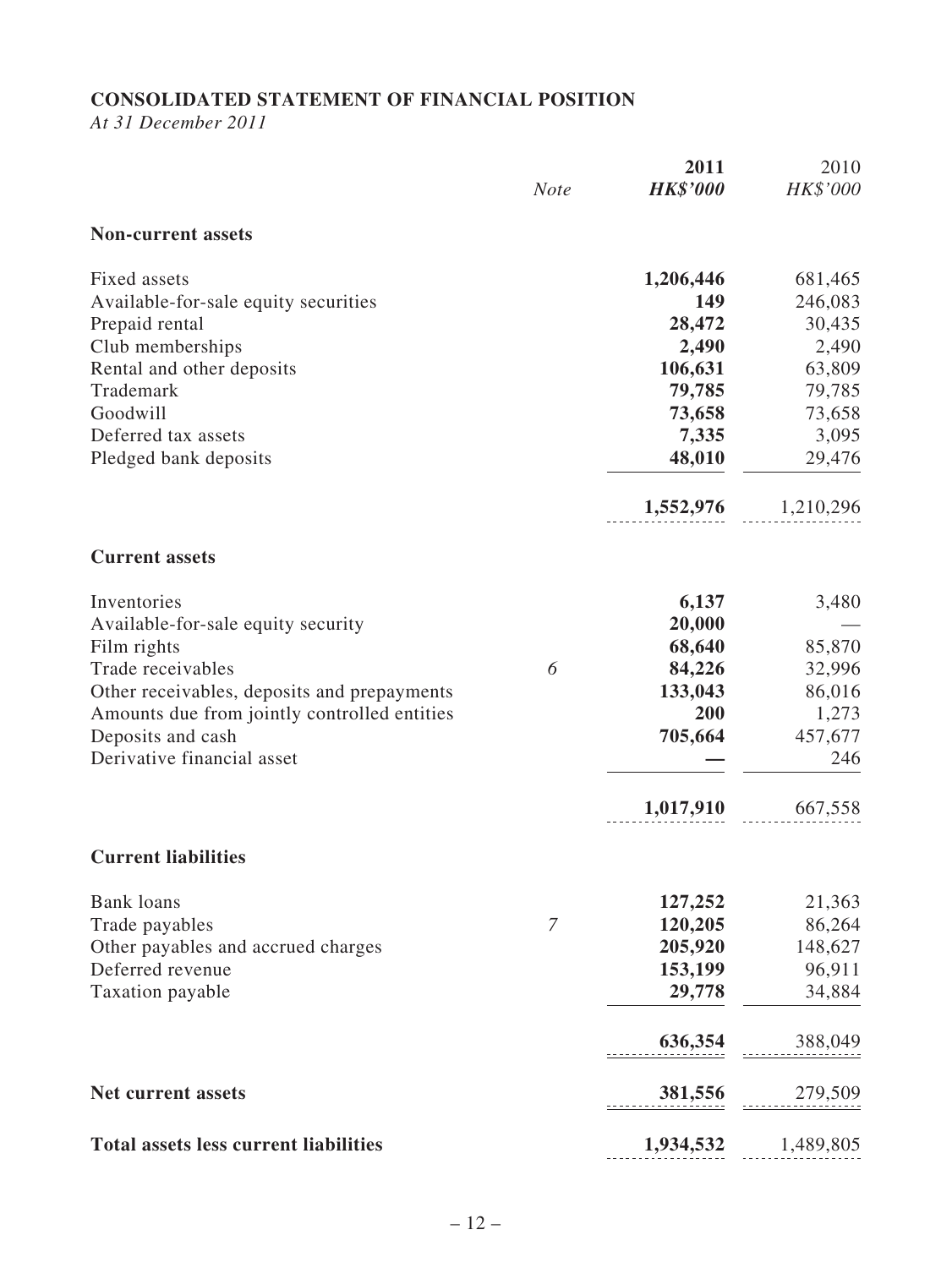# **CONSOLIDATED STATEMENT OF FINANCIAL POSITION**

*At 31 December 2011*

|                                              | <b>Note</b> | 2011<br><b>HK\$'000</b> | 2010<br>HK\$'000 |
|----------------------------------------------|-------------|-------------------------|------------------|
| <b>Non-current assets</b>                    |             |                         |                  |
| Fixed assets                                 |             | 1,206,446               | 681,465          |
| Available-for-sale equity securities         |             | 149                     | 246,083          |
| Prepaid rental                               |             | 28,472                  | 30,435           |
| Club memberships                             |             | 2,490                   | 2,490            |
| Rental and other deposits                    |             | 106,631                 | 63,809           |
| Trademark                                    |             | 79,785                  | 79,785           |
| Goodwill                                     |             | 73,658                  | 73,658           |
| Deferred tax assets                          |             | 7,335                   | 3,095            |
| Pledged bank deposits                        |             | 48,010                  | 29,476           |
|                                              |             | 1,552,976               | 1,210,296        |
| <b>Current assets</b>                        |             |                         |                  |
| Inventories                                  |             | 6,137                   | 3,480            |
| Available-for-sale equity security           |             | 20,000                  |                  |
| Film rights                                  |             | 68,640                  | 85,870           |
| Trade receivables                            | 6           | 84,226                  | 32,996           |
| Other receivables, deposits and prepayments  |             | 133,043                 | 86,016           |
| Amounts due from jointly controlled entities |             | 200                     | 1,273            |
| Deposits and cash                            |             | 705,664                 | 457,677          |
| Derivative financial asset                   |             |                         | 246              |
|                                              |             | 1,017,910               | 667,558          |
| <b>Current liabilities</b>                   |             |                         |                  |
| <b>Bank</b> loans                            |             | 127,252                 | 21,363           |
| Trade payables                               | 7           | 120,205                 | 86,264           |
| Other payables and accrued charges           |             | 205,920                 | 148,627          |
| Deferred revenue                             |             | 153,199                 | 96,911           |
| Taxation payable                             |             | 29,778                  | 34,884           |
|                                              |             | 636,354                 | 388,049          |
| <b>Net current assets</b>                    |             | 381,556                 | 279,509          |
| <b>Total assets less current liabilities</b> |             | 1,934,532               | 1,489,805        |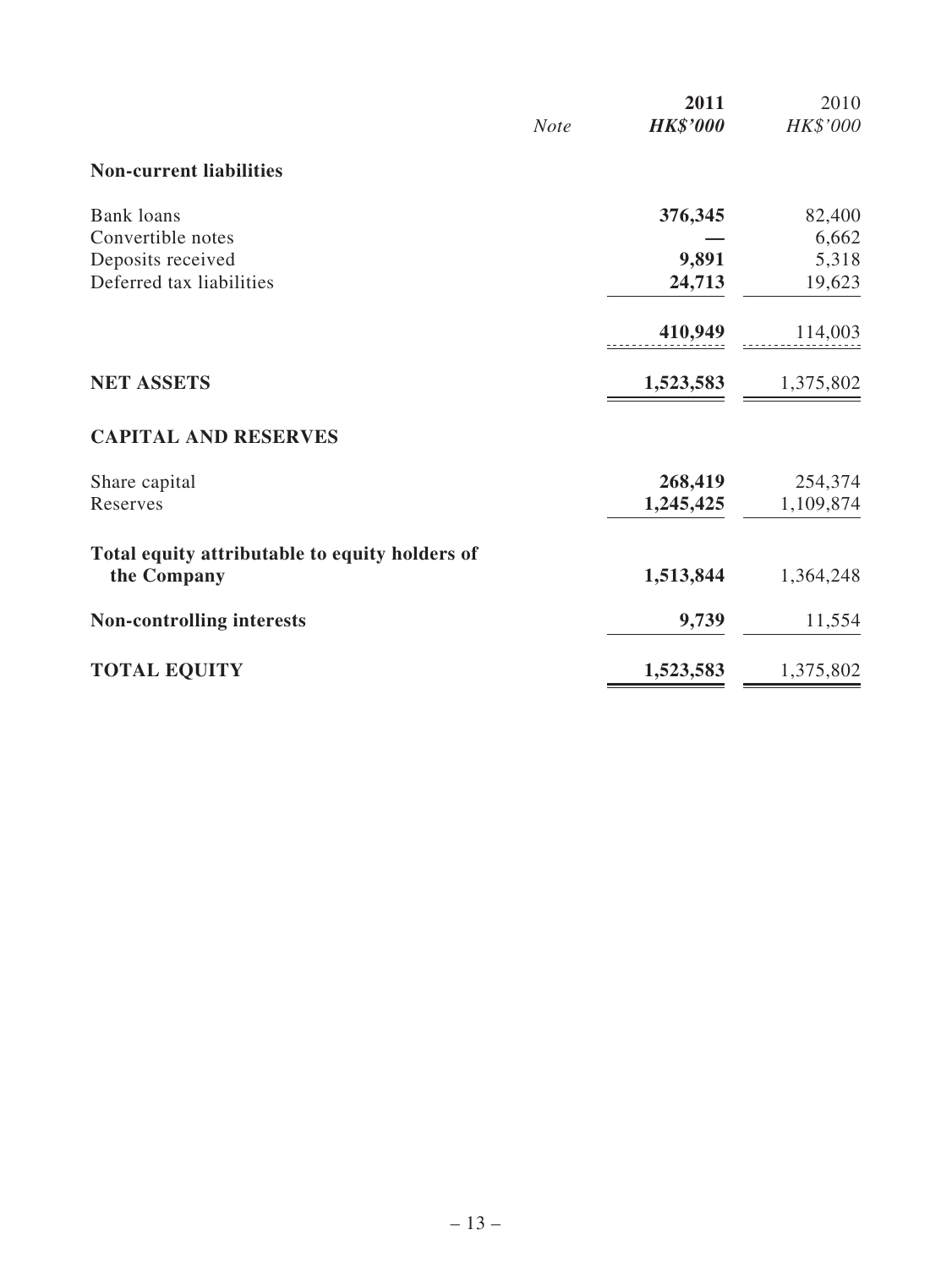|                                                | <b>Note</b> | 2011<br><b>HK\$'000</b> | 2010<br>HK\$'000 |
|------------------------------------------------|-------------|-------------------------|------------------|
| <b>Non-current liabilities</b>                 |             |                         |                  |
| <b>Bank</b> loans                              |             | 376,345                 | 82,400           |
| Convertible notes                              |             |                         | 6,662            |
| Deposits received                              |             | 9,891                   | 5,318            |
| Deferred tax liabilities                       |             | 24,713                  | 19,623           |
|                                                |             | 410,949                 | 114,003          |
| <b>NET ASSETS</b>                              |             | 1,523,583               | 1,375,802        |
| <b>CAPITAL AND RESERVES</b>                    |             |                         |                  |
| Share capital                                  |             | 268,419                 | 254,374          |
| Reserves                                       |             | 1,245,425               | 1,109,874        |
| Total equity attributable to equity holders of |             |                         |                  |
| the Company                                    |             | 1,513,844               | 1,364,248        |
| <b>Non-controlling interests</b>               |             | 9,739                   | 11,554           |
| <b>TOTAL EQUITY</b>                            |             | 1,523,583               | 1,375,802        |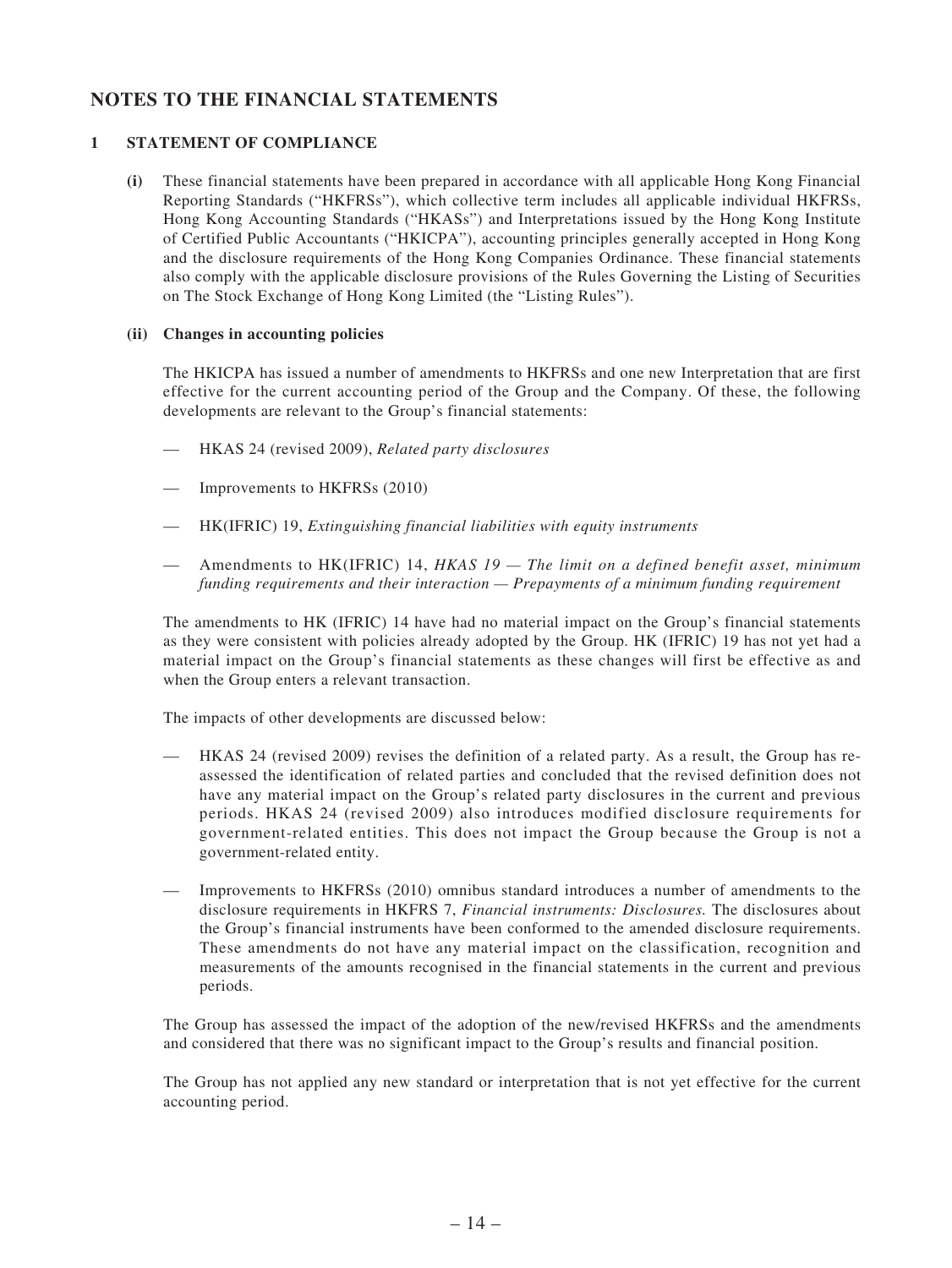## **NOTES TO THE FINANCIAL STATEMENTS**

#### **1 STATEMENT OF COMPLIANCE**

**(i)** These financial statements have been prepared in accordance with all applicable Hong Kong Financial Reporting Standards ("HKFRSs"), which collective term includes all applicable individual HKFRSs, Hong Kong Accounting Standards ("HKASs") and Interpretations issued by the Hong Kong Institute of Certified Public Accountants ("HKICPA"), accounting principles generally accepted in Hong Kong and the disclosure requirements of the Hong Kong Companies Ordinance. These financial statements also comply with the applicable disclosure provisions of the Rules Governing the Listing of Securities on The Stock Exchange of Hong Kong Limited (the "Listing Rules").

#### **(ii) Changes in accounting policies**

The HKICPA has issued a number of amendments to HKFRSs and one new Interpretation that are first effective for the current accounting period of the Group and the Company. Of these, the following developments are relevant to the Group's financial statements:

- — HKAS 24 (revised 2009), *Related party disclosures*
- Improvements to HKFRSs (2010)
- — HK(IFRIC) 19, *Extinguishing financial liabilities with equity instruments*
- — Amendments to HK(IFRIC) 14, *HKAS 19 The limit on a defined benefit asset, minimum funding requirements and their interaction — Prepayments of a minimum funding requirement*

The amendments to HK (IFRIC) 14 have had no material impact on the Group's financial statements as they were consistent with policies already adopted by the Group. HK (IFRIC) 19 has not yet had a material impact on the Group's financial statements as these changes will first be effective as and when the Group enters a relevant transaction.

The impacts of other developments are discussed below:

- HKAS 24 (revised 2009) revises the definition of a related party. As a result, the Group has reassessed the identification of related parties and concluded that the revised definition does not have any material impact on the Group's related party disclosures in the current and previous periods. HKAS 24 (revised 2009) also introduces modified disclosure requirements for government-related entities. This does not impact the Group because the Group is not a government-related entity.
- — Improvements to HKFRSs (2010) omnibus standard introduces a number of amendments to the disclosure requirements in HKFRS 7, *Financial instruments: Disclosures.* The disclosures about the Group's financial instruments have been conformed to the amended disclosure requirements. These amendments do not have any material impact on the classification, recognition and measurements of the amounts recognised in the financial statements in the current and previous periods.

The Group has assessed the impact of the adoption of the new/revised HKFRSs and the amendments and considered that there was no significant impact to the Group's results and financial position.

The Group has not applied any new standard or interpretation that is not yet effective for the current accounting period.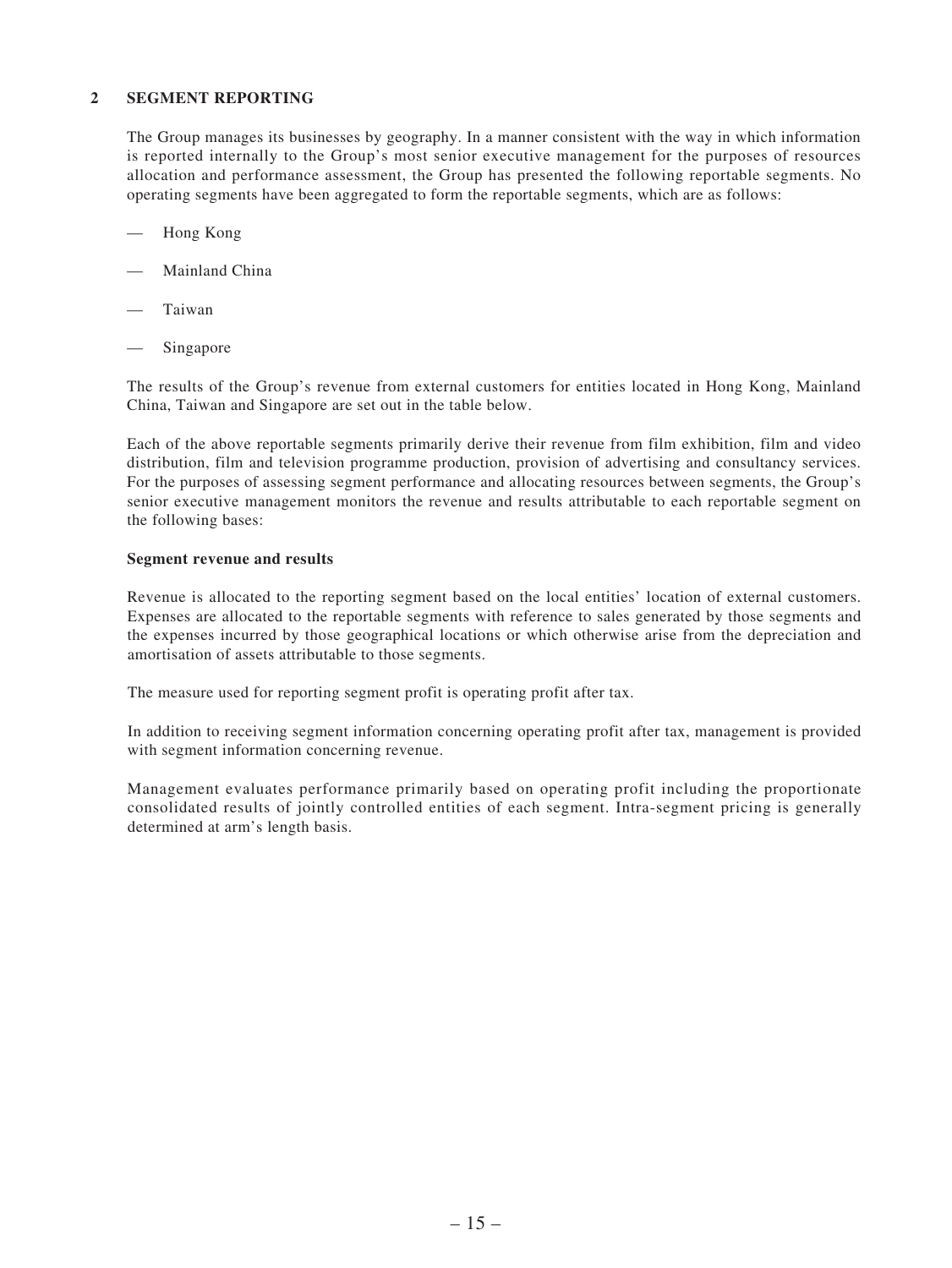#### **2 SEGMENT REPORTING**

The Group manages its businesses by geography. In a manner consistent with the way in which information is reported internally to the Group's most senior executive management for the purposes of resources allocation and performance assessment, the Group has presented the following reportable segments. No operating segments have been aggregated to form the reportable segments, which are as follows:

- Hong Kong
- Mainland China
- **Taiwan**
- Singapore

The results of the Group's revenue from external customers for entities located in Hong Kong, Mainland China, Taiwan and Singapore are set out in the table below.

Each of the above reportable segments primarily derive their revenue from film exhibition, film and video distribution, film and television programme production, provision of advertising and consultancy services. For the purposes of assessing segment performance and allocating resources between segments, the Group's senior executive management monitors the revenue and results attributable to each reportable segment on the following bases:

#### **Segment revenue and results**

Revenue is allocated to the reporting segment based on the local entities' location of external customers. Expenses are allocated to the reportable segments with reference to sales generated by those segments and the expenses incurred by those geographical locations or which otherwise arise from the depreciation and amortisation of assets attributable to those segments.

The measure used for reporting segment profit is operating profit after tax.

In addition to receiving segment information concerning operating profit after tax, management is provided with segment information concerning revenue.

Management evaluates performance primarily based on operating profit including the proportionate consolidated results of jointly controlled entities of each segment. Intra-segment pricing is generally determined at arm's length basis.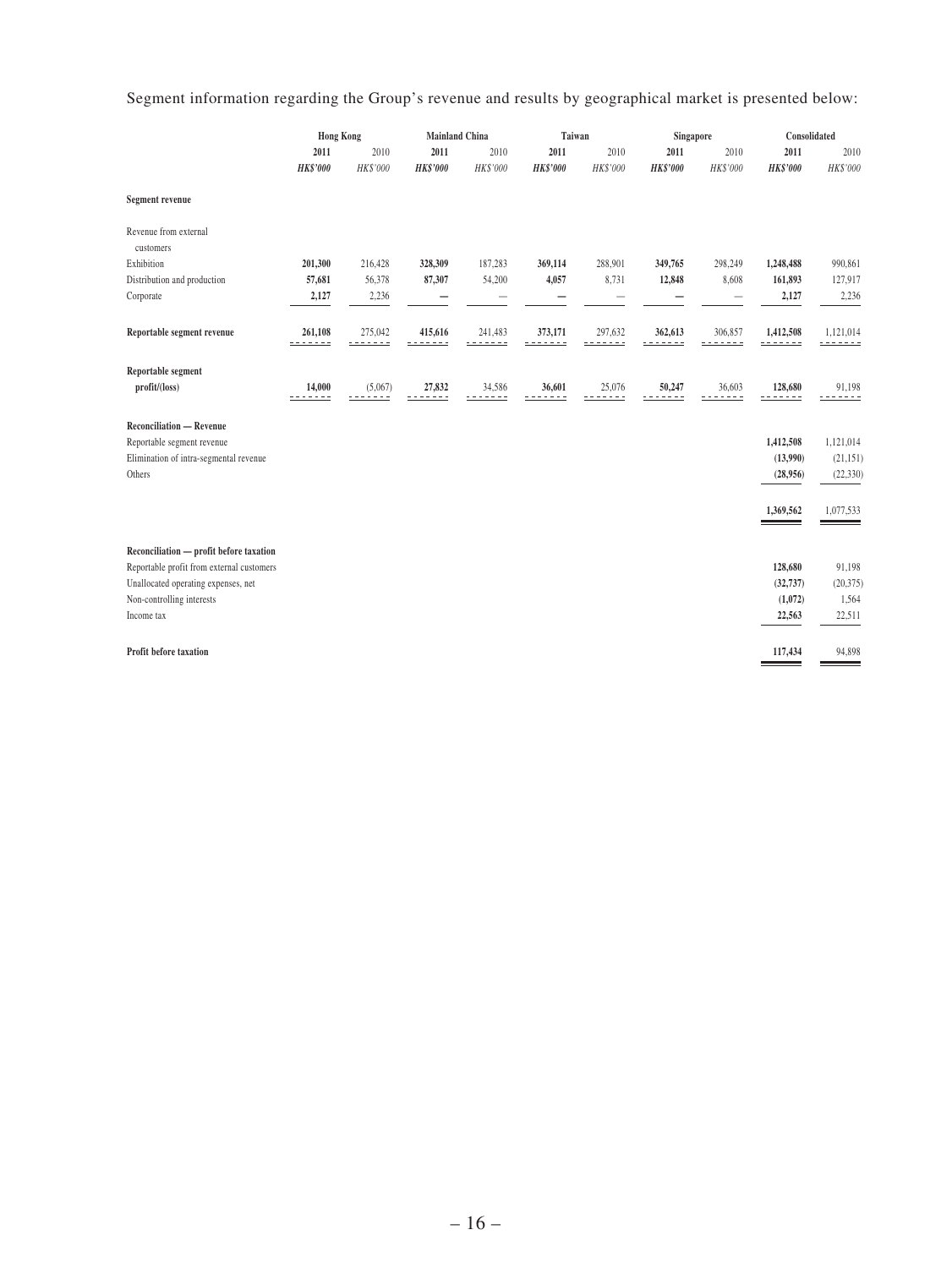Segment information regarding the Group's revenue and results by geographical market is presented below:

|                                                               | <b>Hong Kong</b>   |              | <b>Mainland China</b> |                     |                 | Taiwan<br>Singapore |                   | Consolidated         |                 |             |
|---------------------------------------------------------------|--------------------|--------------|-----------------------|---------------------|-----------------|---------------------|-------------------|----------------------|-----------------|-------------|
|                                                               | 2011               | 2010         | 2011                  | 2010                | 2011            | 2010                | 2011              | 2010                 | 2011            | 2010        |
|                                                               | <b>HK\$'000</b>    | HK\$'000     | <b>HK\$'000</b>       | HK\$'000            | <b>HK\$'000</b> | HK\$'000            | <b>HK\$'000</b>   | HK\$'000             | <b>HK\$'000</b> | HK\$'000    |
| Segment revenue                                               |                    |              |                       |                     |                 |                     |                   |                      |                 |             |
| Revenue from external<br>customers                            |                    |              |                       |                     |                 |                     |                   |                      |                 |             |
| Exhibition                                                    | 201,300            | 216,428      | 328,309               | 187,283             | 369,114         | 288,901             | 349,765           | 298,249              | 1,248,488       | 990,861     |
| Distribution and production                                   | 57,681             | 56,378       | 87,307                | 54,200              | 4,057           | 8,731               | 12,848            | 8,608                | 161,893         | 127,917     |
| Corporate                                                     | 2,127              | 2,236        |                       |                     |                 |                     |                   |                      | 2,127           | 2,236       |
|                                                               |                    |              |                       |                     |                 |                     |                   |                      |                 |             |
| Reportable segment revenue                                    | 261,108<br>------- | 275,042<br>. | 415,616               | 241,483<br>----     | 373,171         | 297,632             | 362,613<br>------ | 306,857<br>$- - - -$ | 1,412,508<br>.  | 1,121,014   |
| Reportable segment<br>profit/(loss)                           | 14,000<br>-----    | (5,067)      | 27,832                | 34,586<br>$- - - -$ | 36,601          | 25,076<br>----      | 50,247<br>.       | 36,603<br>----       | 128,680<br>.    | 91,198<br>. |
| <b>Reconciliation — Revenue</b><br>Reportable segment revenue |                    |              |                       |                     |                 |                     |                   |                      | 1,412,508       | 1,121,014   |
| Elimination of intra-segmental revenue                        |                    |              |                       |                     |                 |                     |                   |                      | (13,990)        | (21, 151)   |
| Others                                                        |                    |              |                       |                     |                 |                     |                   |                      | (28,956)        | (22, 330)   |
|                                                               |                    |              |                       |                     |                 |                     |                   |                      |                 |             |
|                                                               |                    |              |                       |                     |                 |                     |                   |                      | 1,369,562       | 1,077,533   |
| Reconciliation - profit before taxation                       |                    |              |                       |                     |                 |                     |                   |                      |                 |             |
| Reportable profit from external customers                     |                    |              |                       |                     |                 |                     |                   |                      | 128,680         | 91,198      |
| Unallocated operating expenses, net                           |                    |              |                       |                     |                 |                     |                   |                      | (32, 737)       | (20, 375)   |
| Non-controlling interests                                     |                    |              |                       |                     |                 |                     |                   |                      | (1,072)         | 1,564       |
| Income tax                                                    |                    |              |                       |                     |                 |                     |                   |                      | 22,563          | 22,511      |
| Profit before taxation                                        |                    |              |                       |                     |                 |                     |                   |                      | 117,434         | 94,898      |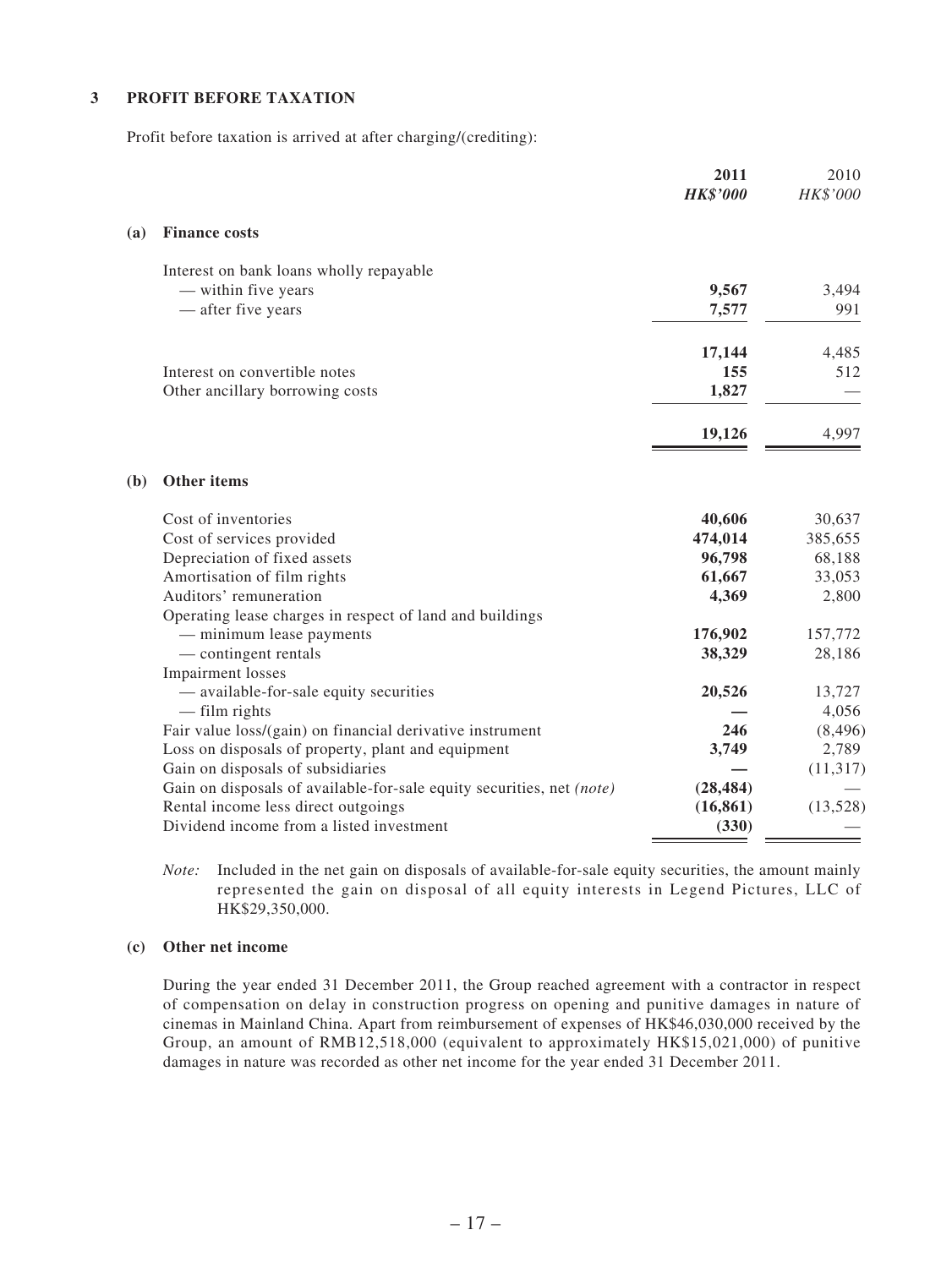#### **3 PROFIT BEFORE TAXATION**

Profit before taxation is arrived at after charging/(crediting):

|            |                                                                       | 2011<br><b>HK\$'000</b> | 2010<br>HK\$'000 |
|------------|-----------------------------------------------------------------------|-------------------------|------------------|
| <b>(a)</b> | <b>Finance costs</b>                                                  |                         |                  |
|            | Interest on bank loans wholly repayable                               |                         |                  |
|            | - within five years                                                   | 9,567                   | 3,494            |
|            | - after five years                                                    | 7,577                   | 991              |
|            |                                                                       | 17,144                  | 4,485            |
|            | Interest on convertible notes                                         | 155                     | 512              |
|            | Other ancillary borrowing costs                                       | 1,827                   |                  |
|            |                                                                       | 19,126                  | 4,997            |
| (b)        | Other items                                                           |                         |                  |
|            | Cost of inventories                                                   | 40,606                  | 30,637           |
|            | Cost of services provided                                             | 474,014                 | 385,655          |
|            | Depreciation of fixed assets                                          | 96,798                  | 68,188           |
|            | Amortisation of film rights                                           | 61,667                  | 33,053           |
|            | Auditors' remuneration                                                | 4,369                   | 2,800            |
|            | Operating lease charges in respect of land and buildings              |                         |                  |
|            | - minimum lease payments                                              | 176,902                 | 157,772          |
|            | - contingent rentals                                                  | 38,329                  | 28,186           |
|            | Impairment losses                                                     |                         |                  |
|            | — available-for-sale equity securities                                | 20,526                  | 13,727           |
|            | $-$ film rights                                                       |                         | 4,056            |
|            | Fair value loss/(gain) on financial derivative instrument             | 246                     | (8, 496)         |
|            | Loss on disposals of property, plant and equipment                    | 3,749                   | 2,789            |
|            | Gain on disposals of subsidiaries                                     |                         | (11, 317)        |
|            | Gain on disposals of available-for-sale equity securities, net (note) | (28, 484)               |                  |
|            | Rental income less direct outgoings                                   | (16, 861)               | (13,528)         |
|            | Dividend income from a listed investment                              | (330)                   |                  |

*Note:* Included in the net gain on disposals of available-for-sale equity securities, the amount mainly represented the gain on disposal of all equity interests in Legend Pictures, LLC of HK\$29,350,000.

#### **(c) Other net income**

During the year ended 31 December 2011, the Group reached agreement with a contractor in respect of compensation on delay in construction progress on opening and punitive damages in nature of cinemas in Mainland China. Apart from reimbursement of expenses of HK\$46,030,000 received by the Group, an amount of RMB12,518,000 (equivalent to approximately HK\$15,021,000) of punitive damages in nature was recorded as other net income for the year ended 31 December 2011.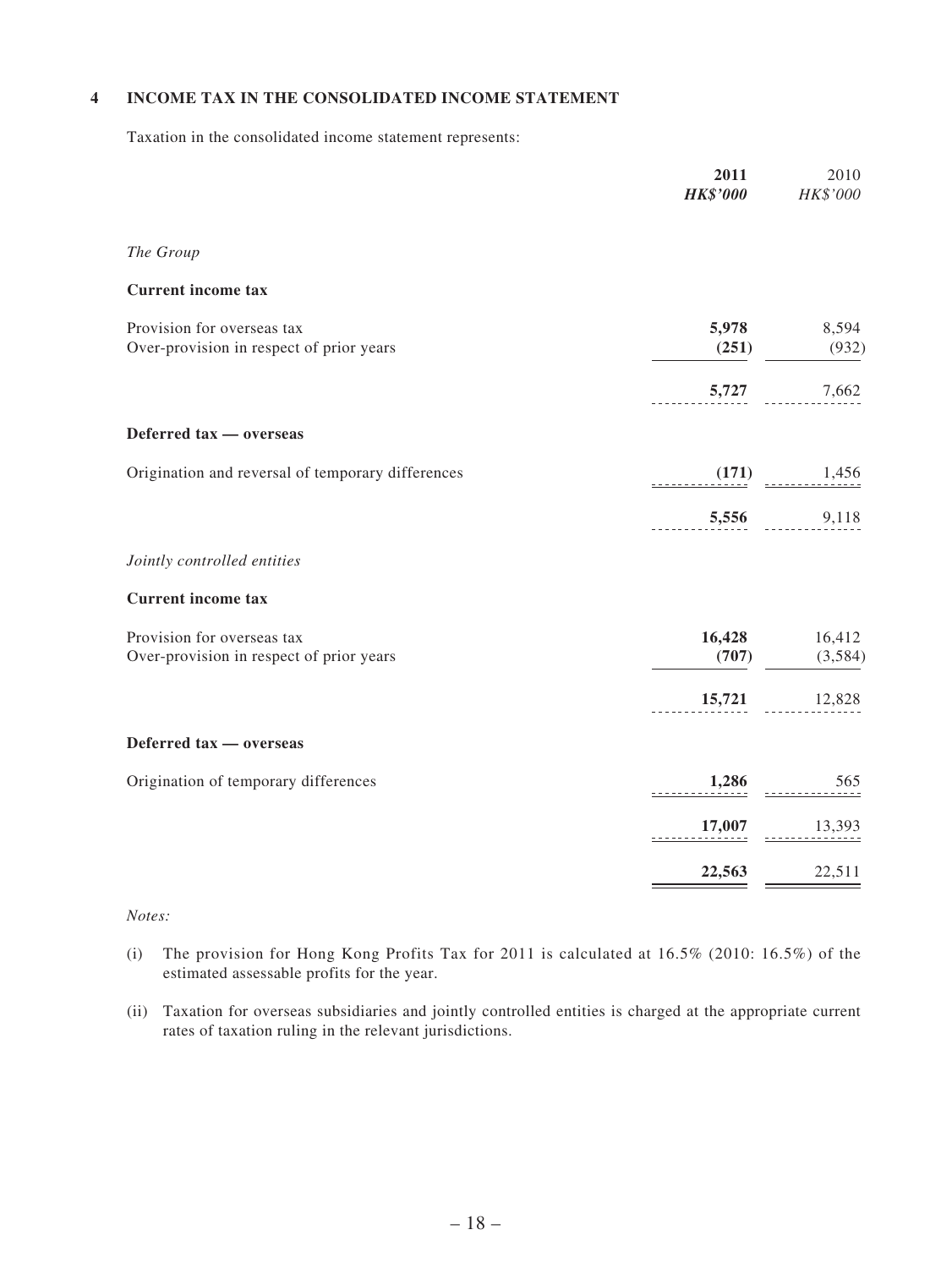#### **4 INCOME TAX IN THE CONSOLIDATED INCOME STATEMENT**

Taxation in the consolidated income statement represents:

| 2011<br><b>HK\$'000</b> | 2010<br>HK\$'000  |
|-------------------------|-------------------|
|                         |                   |
|                         |                   |
| 5,978<br>(251)          | 8,594<br>(932)    |
| 5,727                   | 7,662             |
|                         |                   |
| $\frac{(171)}{2}$       | 1,456             |
| 5,556                   | 9,118             |
|                         |                   |
|                         |                   |
| 16,428<br>(707)         | 16,412<br>(3,584) |
| 15,721                  | 12,828            |
|                         |                   |
| 1,286                   | 565               |
|                         | 13,393            |
| 22,563                  | 22,511            |
|                         | 17,007            |

#### *Notes:*

- (i) The provision for Hong Kong Profits Tax for 2011 is calculated at  $16.5\%$  (2010:  $16.5\%$ ) of the estimated assessable profits for the year.
- (ii) Taxation for overseas subsidiaries and jointly controlled entities is charged at the appropriate current rates of taxation ruling in the relevant jurisdictions.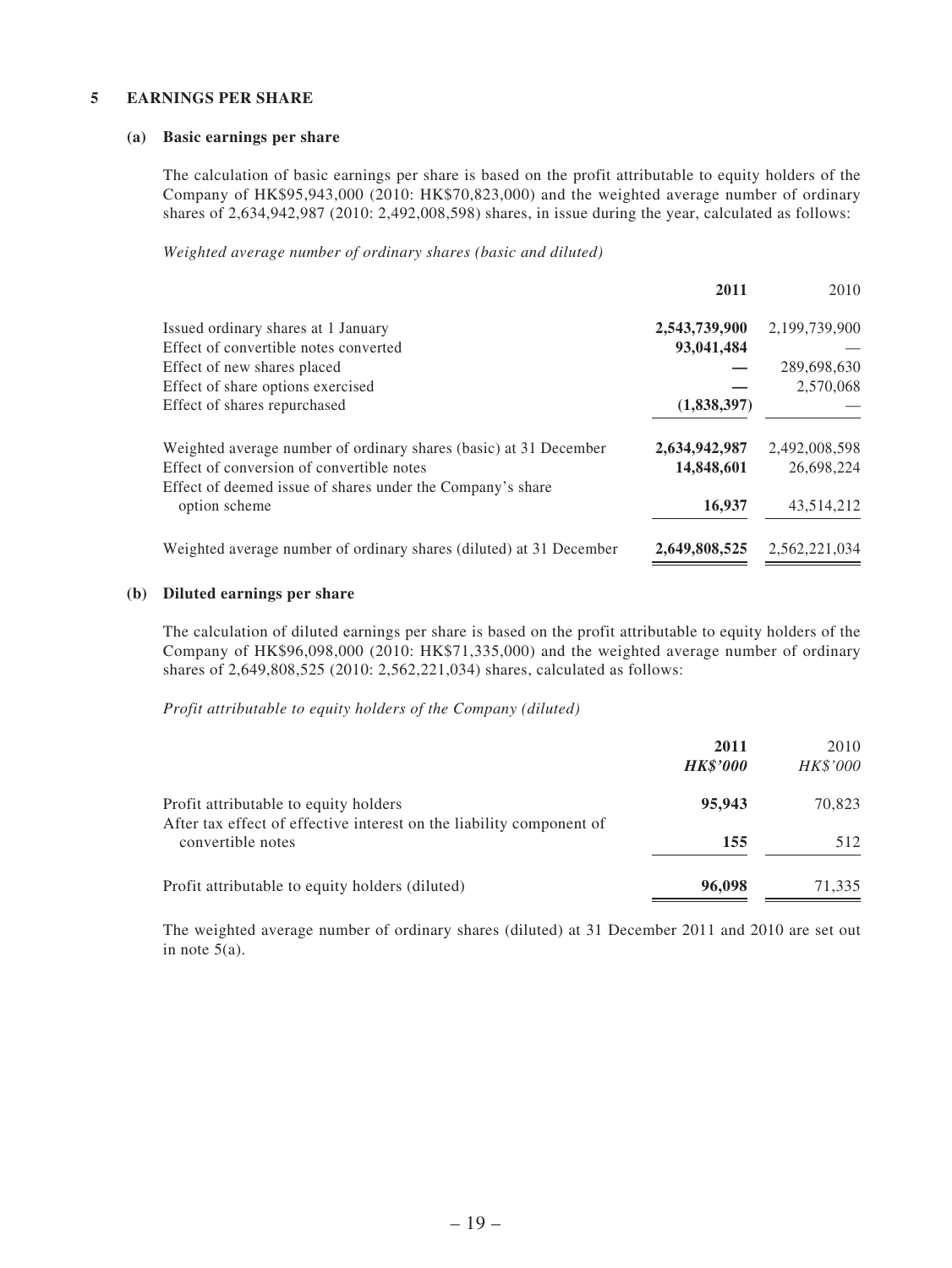#### **5 EARNINGS PER SHARE**

#### **(a) Basic earnings per share**

The calculation of basic earnings per share is based on the profit attributable to equity holders of the Company of HK\$95,943,000 (2010: HK\$70,823,000) and the weighted average number of ordinary shares of 2,634,942,987 (2010: 2,492,008,598) shares, in issue during the year, calculated as follows:

*Weighted average number of ordinary shares (basic and diluted)*

|                                                                     | 2011          | 2010          |
|---------------------------------------------------------------------|---------------|---------------|
| Issued ordinary shares at 1 January                                 | 2,543,739,900 | 2,199,739,900 |
| Effect of convertible notes converted                               | 93,041,484    |               |
| Effect of new shares placed                                         |               | 289,698,630   |
| Effect of share options exercised                                   |               | 2,570,068     |
| Effect of shares repurchased                                        | (1,838,397)   |               |
| Weighted average number of ordinary shares (basic) at 31 December   | 2,634,942,987 | 2,492,008,598 |
| Effect of conversion of convertible notes                           | 14,848,601    | 26,698,224    |
| Effect of deemed issue of shares under the Company's share          |               |               |
| option scheme                                                       | 16,937        | 43,514,212    |
| Weighted average number of ordinary shares (diluted) at 31 December | 2,649,808,525 | 2,562,221,034 |

#### **(b) Diluted earnings per share**

The calculation of diluted earnings per share is based on the profit attributable to equity holders of the Company of HK\$96,098,000 (2010: HK\$71,335,000) and the weighted average number of ordinary shares of 2,649,808,525 (2010: 2,562,221,034) shares, calculated as follows:

*Profit attributable to equity holders of the Company (diluted)*

|                                                                                           | 2011<br><b>HK\$'000</b> | 2010<br><b>HK\$'000</b> |
|-------------------------------------------------------------------------------------------|-------------------------|-------------------------|
| Profit attributable to equity holders                                                     | 95,943                  | 70,823                  |
| After tax effect of effective interest on the liability component of<br>convertible notes | 155                     | 512                     |
| Profit attributable to equity holders (diluted)                                           | 96,098                  | 71,335                  |

The weighted average number of ordinary shares (diluted) at 31 December 2011 and 2010 are set out in note  $5(a)$ .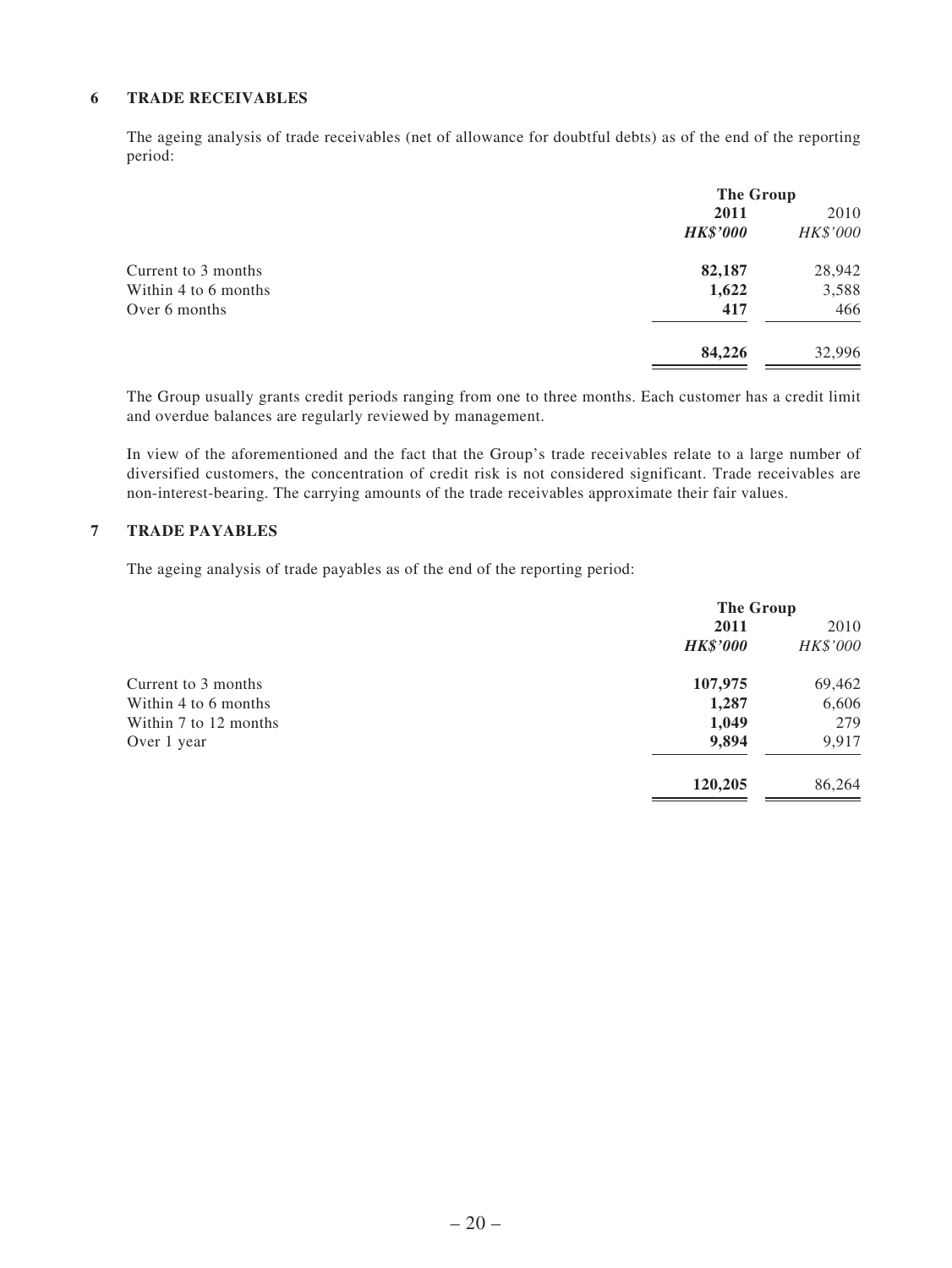#### **6 TRADE RECEIVABLES**

The ageing analysis of trade receivables (net of allowance for doubtful debts) as of the end of the reporting period:

|                      | The Group       |          |
|----------------------|-----------------|----------|
|                      | 2011            | 2010     |
|                      | <b>HK\$'000</b> | HK\$'000 |
| Current to 3 months  | 82,187          | 28,942   |
| Within 4 to 6 months | 1,622           | 3,588    |
| Over 6 months        | 417             | 466      |
|                      | 84,226          | 32,996   |

The Group usually grants credit periods ranging from one to three months. Each customer has a credit limit and overdue balances are regularly reviewed by management.

In view of the aforementioned and the fact that the Group's trade receivables relate to a large number of diversified customers, the concentration of credit risk is not considered significant. Trade receivables are non-interest-bearing. The carrying amounts of the trade receivables approximate their fair values.

#### **7 TRADE PAYABLES**

The ageing analysis of trade payables as of the end of the reporting period:

|                       | <b>The Group</b> |          |
|-----------------------|------------------|----------|
|                       | 2011             | 2010     |
|                       | <b>HK\$'000</b>  | HK\$'000 |
| Current to 3 months   | 107,975          | 69,462   |
| Within 4 to 6 months  | 1,287            | 6,606    |
| Within 7 to 12 months | 1,049            | 279      |
| Over 1 year           | 9,894            | 9,917    |
|                       | 120,205          | 86,264   |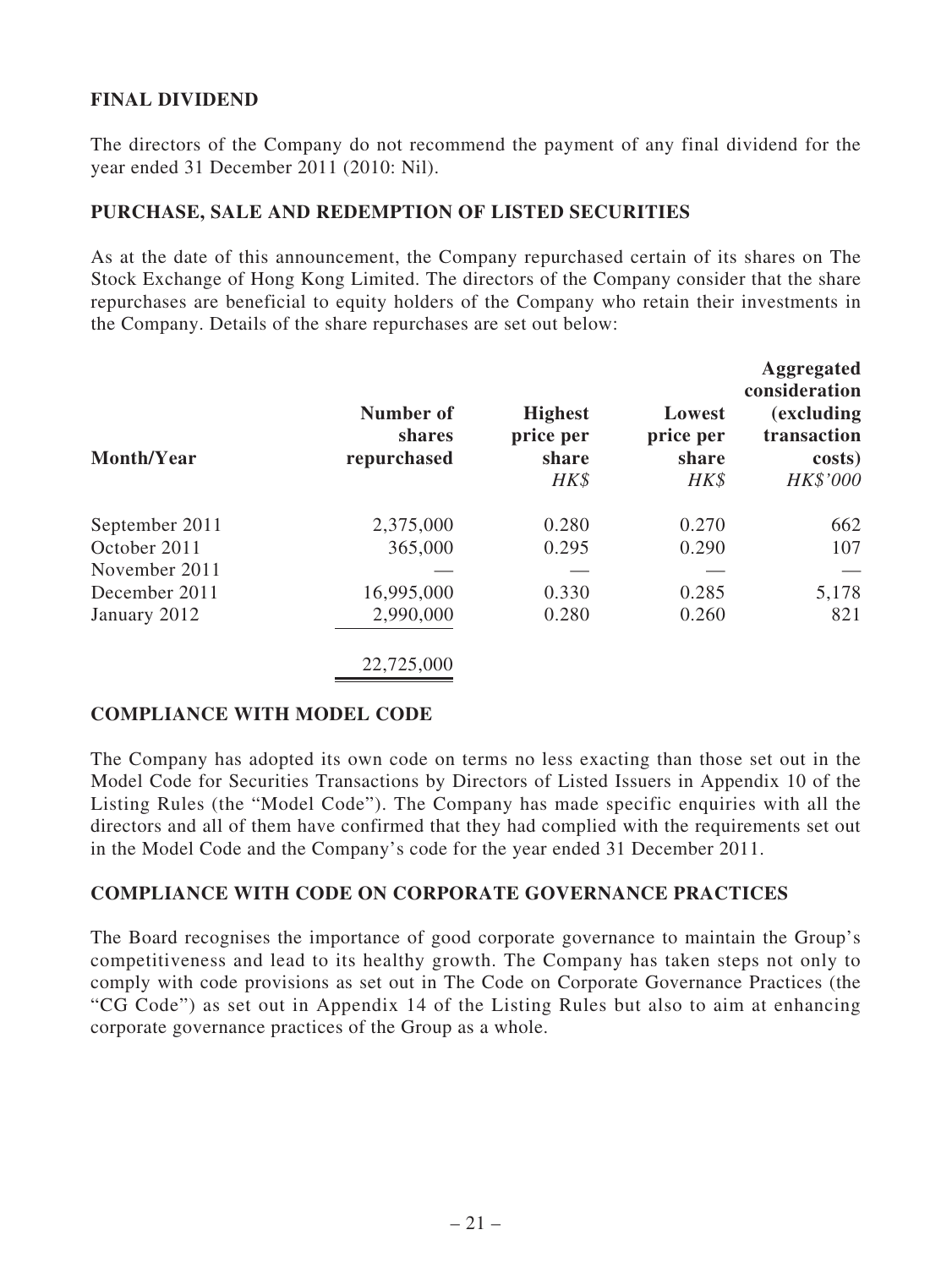## **FINAL DIVIDEND**

The directors of the Company do not recommend the payment of any final dividend for the year ended 31 December 2011 (2010: Nil).

### **PURCHASE, SALE AND REDEMPTION OF LISTED SECURITIES**

As at the date of this announcement, the Company repurchased certain of its shares on The Stock Exchange of Hong Kong Limited. The directors of the Company consider that the share repurchases are beneficial to equity holders of the Company who retain their investments in the Company. Details of the share repurchases are set out below:

| Month/Year     | Number of<br>shares<br>repurchased | <b>Highest</b><br>price per<br>share<br>HK\$ | Lowest<br>price per<br>share<br>HK\$ | <b>Aggregated</b><br>consideration<br><i>(excluding)</i><br>transaction<br>costs)<br>HK\$'000 |
|----------------|------------------------------------|----------------------------------------------|--------------------------------------|-----------------------------------------------------------------------------------------------|
| September 2011 | 2,375,000                          | 0.280                                        | 0.270                                | 662                                                                                           |
| October 2011   | 365,000                            | 0.295                                        | 0.290                                | 107                                                                                           |
| November 2011  |                                    |                                              |                                      |                                                                                               |
| December 2011  | 16,995,000                         | 0.330                                        | 0.285                                | 5,178                                                                                         |
| January 2012   | 2,990,000                          | 0.280                                        | 0.260                                | 821                                                                                           |
|                | 22,725,000                         |                                              |                                      |                                                                                               |

### **COMPLIANCE WITH MODEL CODE**

The Company has adopted its own code on terms no less exacting than those set out in the Model Code for Securities Transactions by Directors of Listed Issuers in Appendix 10 of the Listing Rules (the "Model Code"). The Company has made specific enquiries with all the directors and all of them have confirmed that they had complied with the requirements set out in the Model Code and the Company's code for the year ended 31 December 2011.

### **COMPLIANCE WITH CODE ON CORPORATE GOVERNANCE PRACTICES**

The Board recognises the importance of good corporate governance to maintain the Group's competitiveness and lead to its healthy growth. The Company has taken steps not only to comply with code provisions as set out in The Code on Corporate Governance Practices (the "CG Code") as set out in Appendix 14 of the Listing Rules but also to aim at enhancing corporate governance practices of the Group as a whole.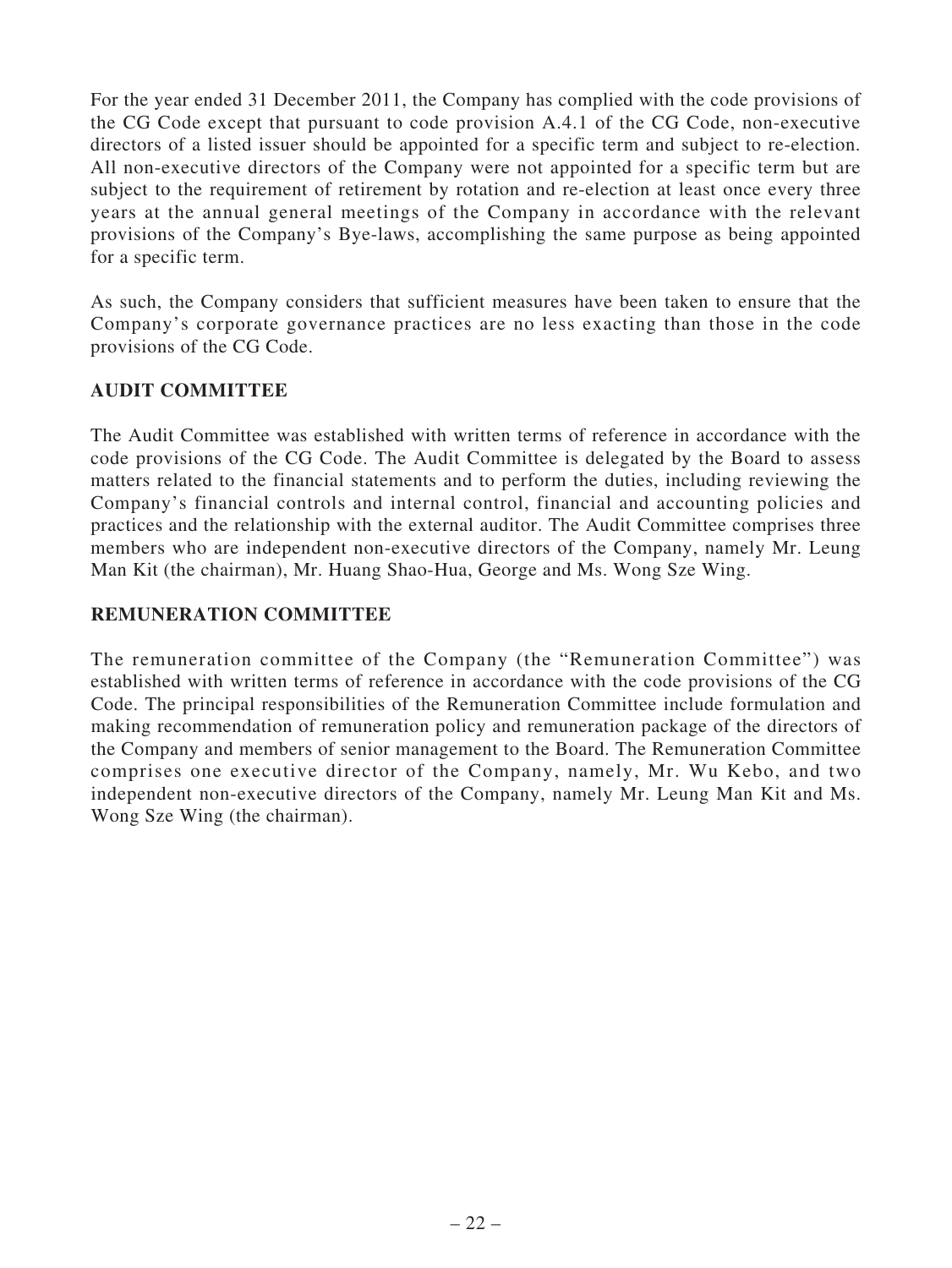For the year ended 31 December 2011, the Company has complied with the code provisions of the CG Code except that pursuant to code provision A.4.1 of the CG Code, non-executive directors of a listed issuer should be appointed for a specific term and subject to re-election. All non-executive directors of the Company were not appointed for a specific term but are subject to the requirement of retirement by rotation and re-election at least once every three years at the annual general meetings of the Company in accordance with the relevant provisions of the Company's Bye-laws, accomplishing the same purpose as being appointed for a specific term.

As such, the Company considers that sufficient measures have been taken to ensure that the Company's corporate governance practices are no less exacting than those in the code provisions of the CG Code.

## **AUDIT COMMITTEE**

The Audit Committee was established with written terms of reference in accordance with the code provisions of the CG Code. The Audit Committee is delegated by the Board to assess matters related to the financial statements and to perform the duties, including reviewing the Company's financial controls and internal control, financial and accounting policies and practices and the relationship with the external auditor. The Audit Committee comprises three members who are independent non-executive directors of the Company, namely Mr. Leung Man Kit (the chairman), Mr. Huang Shao-Hua, George and Ms. Wong Sze Wing.

## **REMUNERATION COMMITTEE**

The remuneration committee of the Company (the "Remuneration Committee") was established with written terms of reference in accordance with the code provisions of the CG Code. The principal responsibilities of the Remuneration Committee include formulation and making recommendation of remuneration policy and remuneration package of the directors of the Company and members of senior management to the Board. The Remuneration Committee comprises one executive director of the Company, namely, Mr. Wu Kebo, and two independent non-executive directors of the Company, namely Mr. Leung Man Kit and Ms. Wong Sze Wing (the chairman).